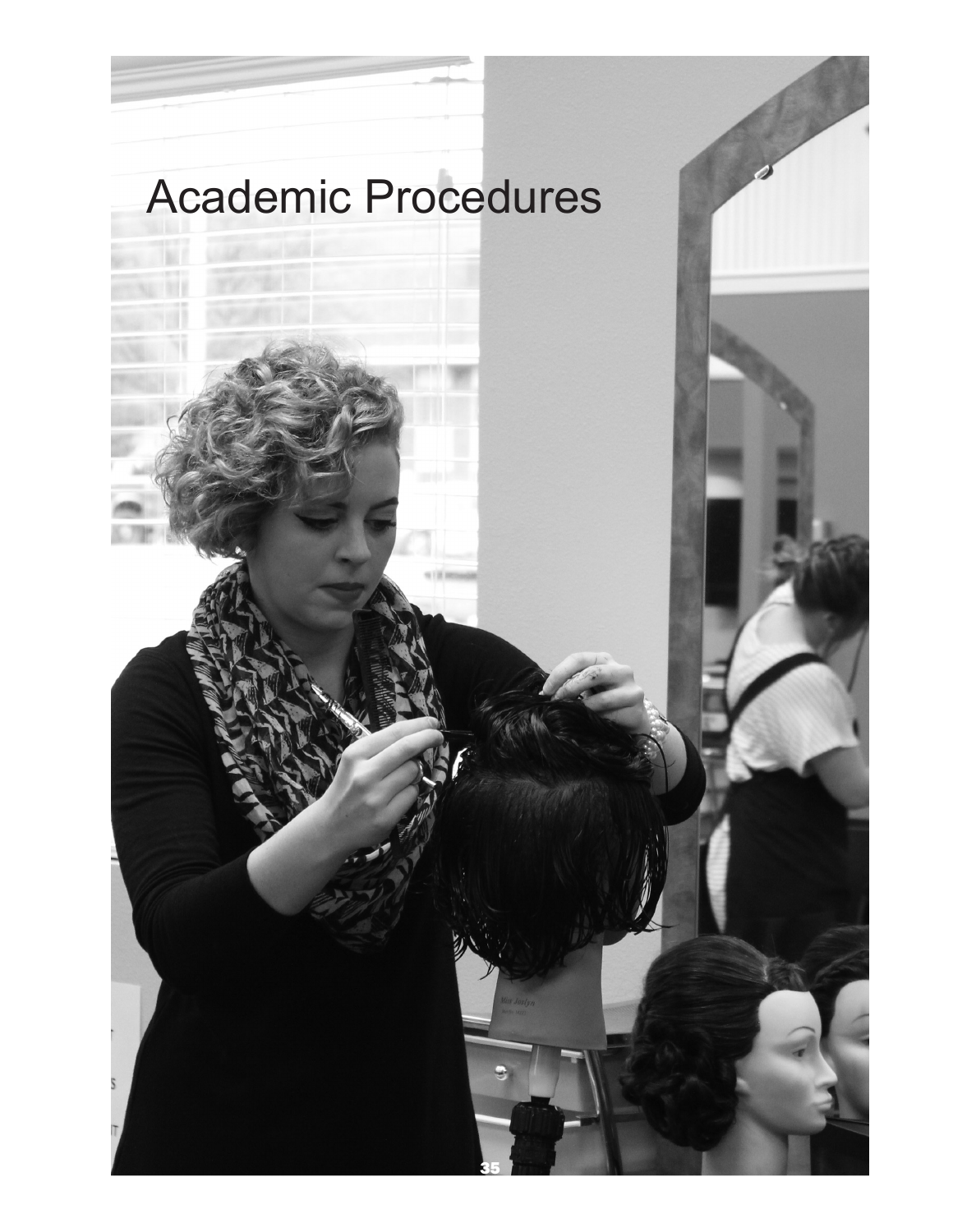# Academic Procedures

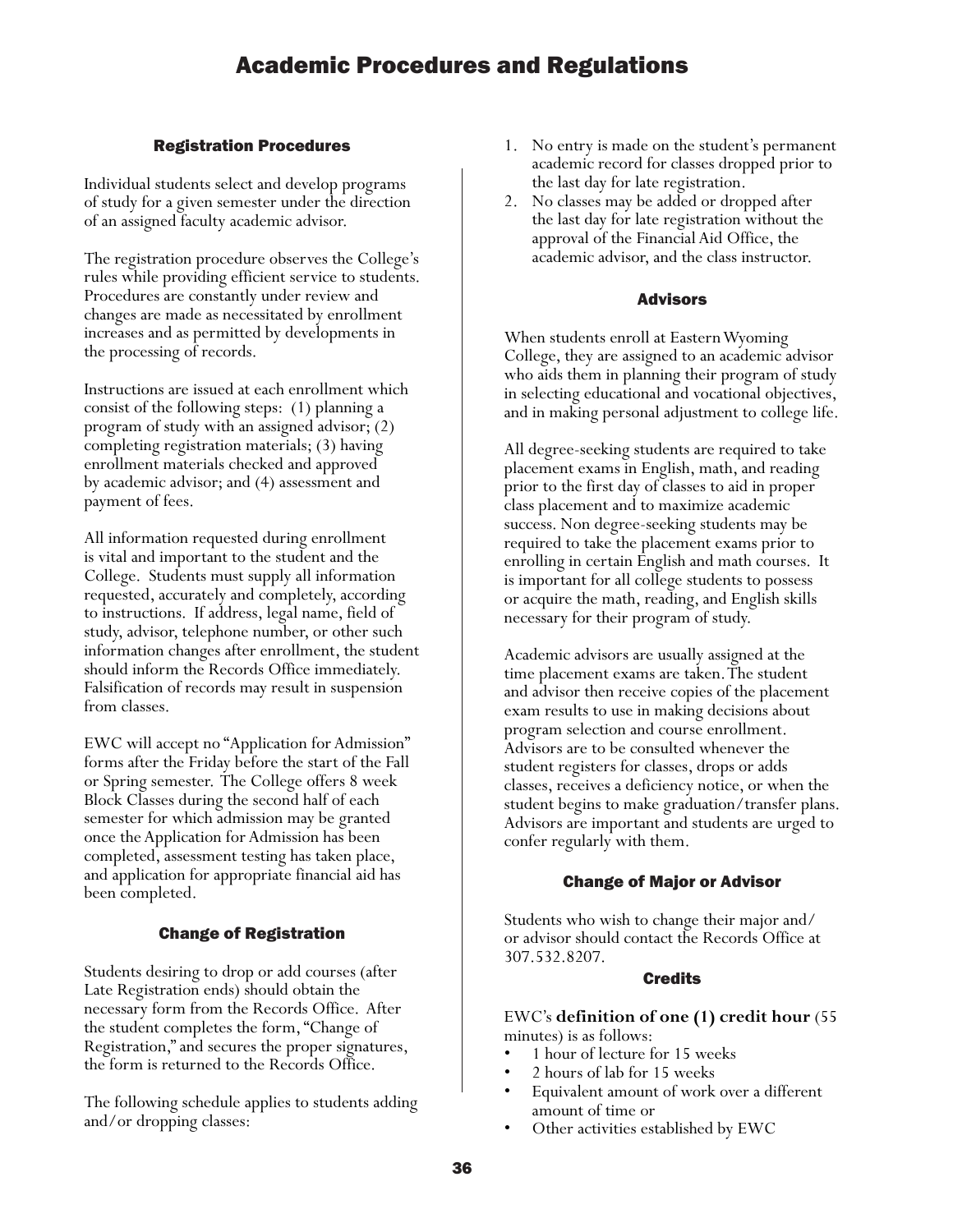#### Registration Procedures

Individual students select and develop programs of study for a given semester under the direction of an assigned faculty academic advisor.

The registration procedure observes the College's rules while providing efficient service to students. Procedures are constantly under review and changes are made as necessitated by enrollment increases and as permitted by developments in the processing of records.

Instructions are issued at each enrollment which consist of the following steps: (1) planning a program of study with an assigned advisor; (2) completing registration materials; (3) having enrollment materials checked and approved by academic advisor; and (4) assessment and payment of fees.

All information requested during enrollment is vital and important to the student and the College. Students must supply all information requested, accurately and completely, according to instructions. If address, legal name, field of study, advisor, telephone number, or other such information changes after enrollment, the student should inform the Records Office immediately. Falsification of records may result in suspension from classes.

EWC will accept no "Application for Admission" forms after the Friday before the start of the Fall or Spring semester. The College offers 8 week Block Classes during the second half of each semester for which admission may be granted once the Application for Admission has been completed, assessment testing has taken place, and application for appropriate financial aid has been completed.

#### Change of Registration

Students desiring to drop or add courses (after Late Registration ends) should obtain the necessary form from the Records Office. After the student completes the form, "Change of Registration," and secures the proper signatures, the form is returned to the Records Office.

The following schedule applies to students adding and/or dropping classes:

- 1. No entry is made on the student's permanent academic record for classes dropped prior to the last day for late registration.
- 2. No classes may be added or dropped after the last day for late registration without the approval of the Financial Aid Office, the academic advisor, and the class instructor.

#### Advisors

When students enroll at Eastern Wyoming College, they are assigned to an academic advisor who aids them in planning their program of study in selecting educational and vocational objectives, and in making personal adjustment to college life.

All degree-seeking students are required to take placement exams in English, math, and reading prior to the first day of classes to aid in proper class placement and to maximize academic success. Non degree-seeking students may be required to take the placement exams prior to enrolling in certain English and math courses. It is important for all college students to possess or acquire the math, reading, and English skills necessary for their program of study.

Academic advisors are usually assigned at the time placement exams are taken. The student and advisor then receive copies of the placement exam results to use in making decisions about program selection and course enrollment. Advisors are to be consulted whenever the student registers for classes, drops or adds classes, receives a deficiency notice, or when the student begins to make graduation/transfer plans. Advisors are important and students are urged to confer regularly with them.

#### Change of Major or Advisor

Students who wish to change their major and/ or advisor should contact the Records Office at 307.532.8207.

#### **Credits**

EWC's **definition of one (1) credit hour** (55 minutes) is as follows:

- 1 hour of lecture for 15 weeks
- 2 hours of lab for 15 weeks
- Equivalent amount of work over a different
- amount of time or<br>• Other activities established by EWC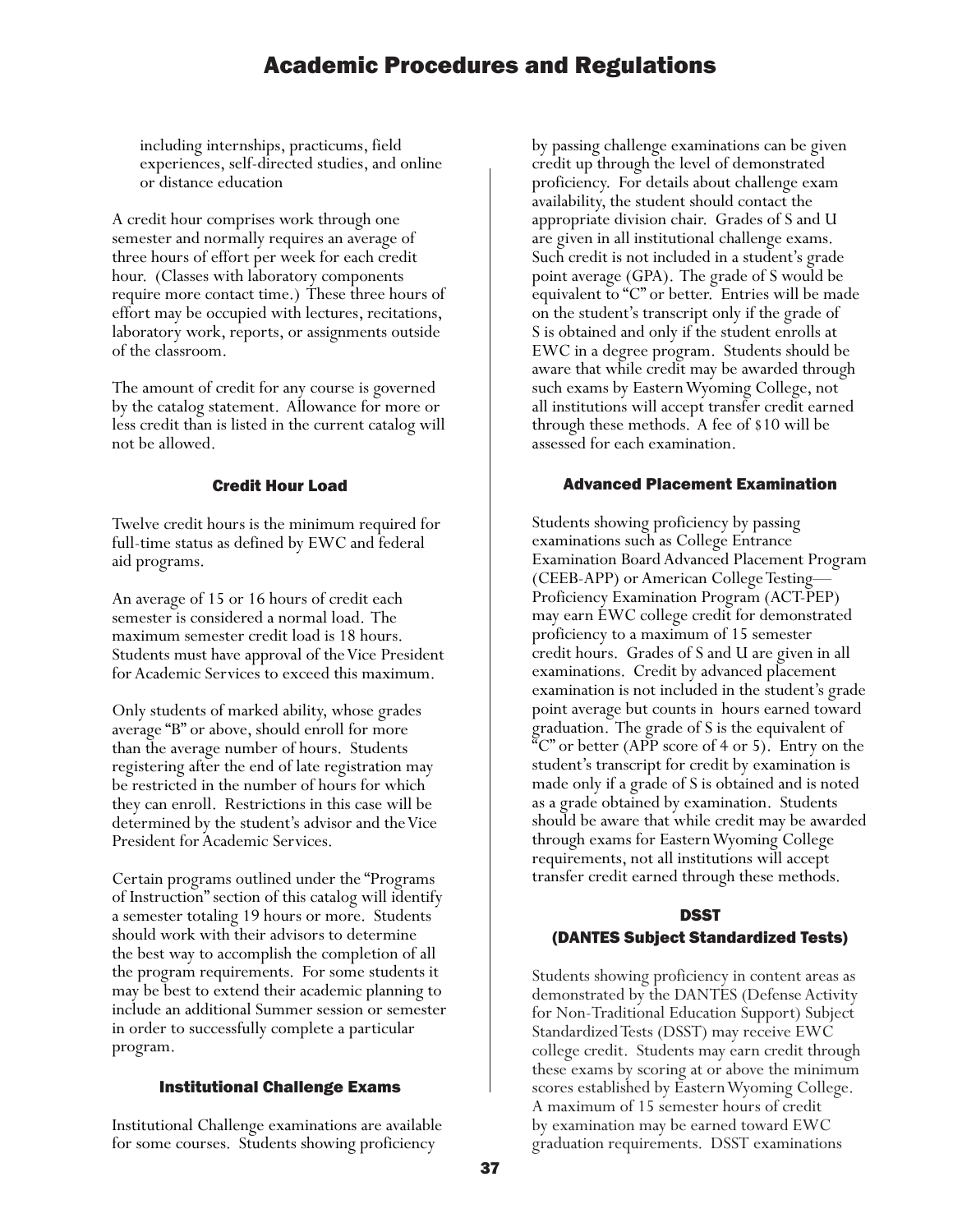including internships, practicums, field experiences, self-directed studies, and online or distance education

A credit hour comprises work through one semester and normally requires an average of three hours of effort per week for each credit hour. (Classes with laboratory components require more contact time.) These three hours of effort may be occupied with lectures, recitations, laboratory work, reports, or assignments outside of the classroom.

The amount of credit for any course is governed by the catalog statement. Allowance for more or less credit than is listed in the current catalog will not be allowed.

#### Credit Hour Load

Twelve credit hours is the minimum required for full-time status as defined by EWC and federal aid programs.

An average of 15 or 16 hours of credit each semester is considered a normal load. The maximum semester credit load is 18 hours. Students must have approval of the Vice President for Academic Services to exceed this maximum.

Only students of marked ability, whose grades average "B" or above, should enroll for more than the average number of hours. Students registering after the end of late registration may be restricted in the number of hours for which they can enroll. Restrictions in this case will be determined by the student's advisor and the Vice President for Academic Services.

Certain programs outlined under the "Programs of Instruction" section of this catalog will identify a semester totaling 19 hours or more. Students should work with their advisors to determine the best way to accomplish the completion of all the program requirements. For some students it may be best to extend their academic planning to include an additional Summer session or semester in order to successfully complete a particular program.

#### Institutional Challenge Exams

Institutional Challenge examinations are available for some courses. Students showing proficiency

by passing challenge examinations can be given credit up through the level of demonstrated proficiency. For details about challenge exam availability, the student should contact the appropriate division chair. Grades of S and U are given in all institutional challenge exams. Such credit is not included in a student's grade point average (GPA). The grade of S would be equivalent to "C" or better. Entries will be made on the student's transcript only if the grade of S is obtained and only if the student enrolls at EWC in a degree program. Students should be aware that while credit may be awarded through such exams by Eastern Wyoming College, not all institutions will accept transfer credit earned through these methods. A fee of \$10 will be assessed for each examination.

#### Advanced Placement Examination

Students showing proficiency by passing examinations such as College Entrance Examination Board Advanced Placement Program (CEEB-APP) or American College Testing— Proficiency Examination Program (ACT-PEP) may earn EWC college credit for demonstrated proficiency to a maximum of 15 semester credit hours. Grades of S and U are given in all examinations. Credit by advanced placement examination is not included in the student's grade point average but counts in hours earned toward graduation. The grade of S is the equivalent of  $C^{\infty}$  or better (APP score of 4 or 5). Entry on the student's transcript for credit by examination is made only if a grade of S is obtained and is noted as a grade obtained by examination. Students should be aware that while credit may be awarded through exams for Eastern Wyoming College requirements, not all institutions will accept transfer credit earned through these methods.

#### DSST

#### (DANTES Subject Standardized Tests)

Students showing proficiency in content areas as demonstrated by the DANTES (Defense Activity for Non-Traditional Education Support) Subject Standardized Tests (DSST) may receive EWC college credit. Students may earn credit through these exams by scoring at or above the minimum scores established by Eastern Wyoming College. A maximum of 15 semester hours of credit by examination may be earned toward EWC graduation requirements. DSST examinations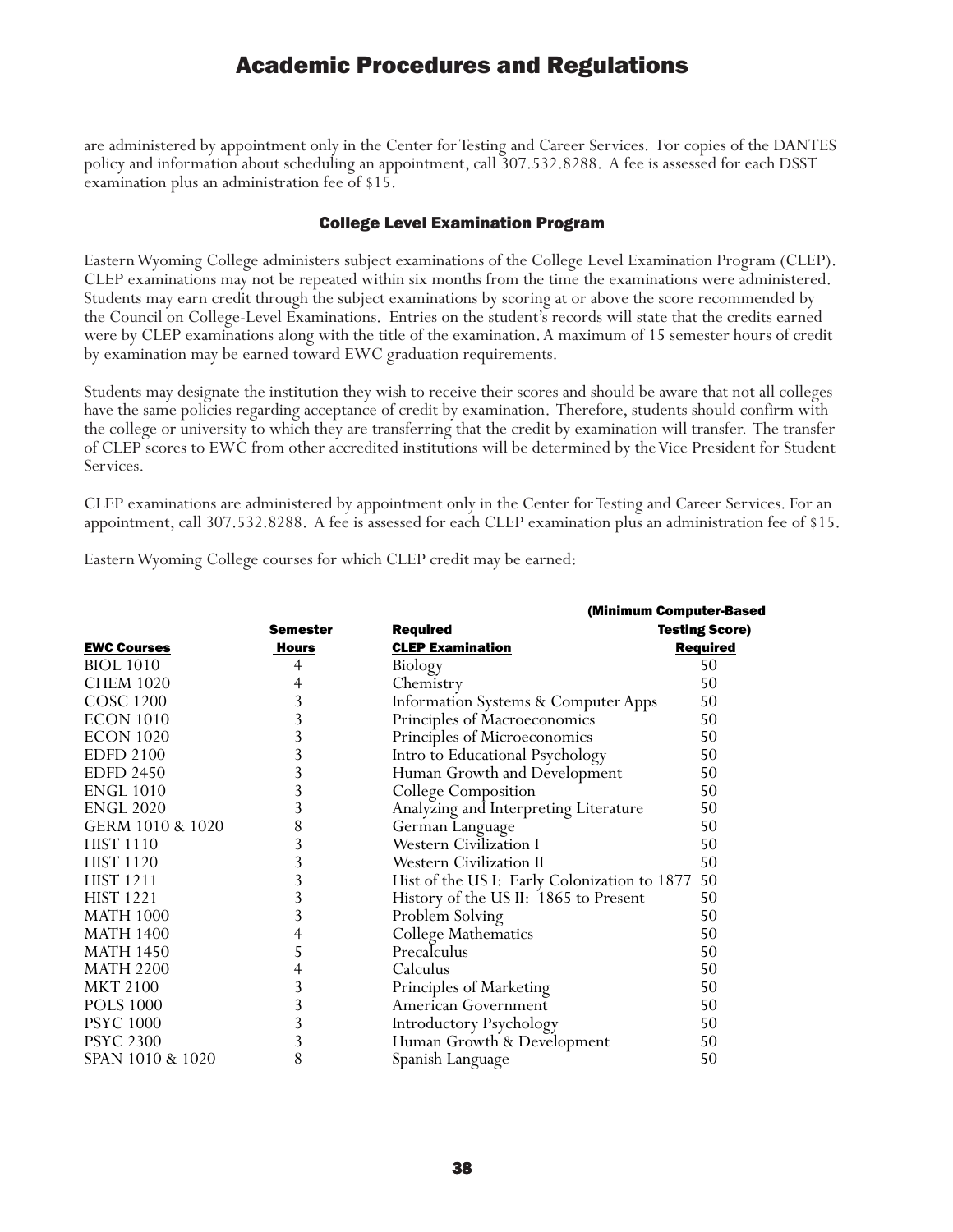are administered by appointment only in the Center for Testing and Career Services. For copies of the DANTES policy and information about scheduling an appointment, call 307.532.8288. A fee is assessed for each DSST examination plus an administration fee of \$15.

#### College Level Examination Program

Eastern Wyoming College administers subject examinations of the College Level Examination Program (CLEP). CLEP examinations may not be repeated within six months from the time the examinations were administered. Students may earn credit through the subject examinations by scoring at or above the score recommended by the Council on College-Level Examinations. Entries on the student's records will state that the credits earned were by CLEP examinations along with the title of the examination. A maximum of 15 semester hours of credit by examination may be earned toward EWC graduation requirements.

Students may designate the institution they wish to receive their scores and should be aware that not all colleges have the same policies regarding acceptance of credit by examination. Therefore, students should confirm with the college or university to which they are transferring that the credit by examination will transfer. The transfer of CLEP scores to EWC from other accredited institutions will be determined by the Vice President for Student Services.

CLEP examinations are administered by appointment only in the Center for Testing and Career Services. For an appointment, call 307.532.8288. A fee is assessed for each CLEP examination plus an administration fee of \$15.

Eastern Wyoming College courses for which CLEP credit may be earned:

|                    |                 | (Minimum Computer-Based                        |                       |
|--------------------|-----------------|------------------------------------------------|-----------------------|
|                    | <b>Semester</b> | <b>Required</b>                                | <b>Testing Score)</b> |
| <b>EWC Courses</b> | Hours           | <b>CLEP Examination</b>                        | <b>Required</b>       |
| <b>BIOL</b> 1010   | 4               | Biology                                        | 50                    |
| <b>CHEM 1020</b>   | 4               | Chemistry                                      | 50                    |
| COSC 1200          | 3               | <b>Information Systems &amp; Computer Apps</b> | 50                    |
| <b>ECON 1010</b>   | 3               | Principles of Macroeconomics                   | 50                    |
| <b>ECON 1020</b>   | 3               | Principles of Microeconomics                   | 50                    |
| <b>EDFD 2100</b>   | 3               | Intro to Educational Psychology                | 50                    |
| <b>EDFD 2450</b>   | 3               | Human Growth and Development                   | 50                    |
| <b>ENGL 1010</b>   | 3               | College Composition                            | 50                    |
| <b>ENGL 2020</b>   | 3               | Analyzing and Interpreting Literature          | 50                    |
| GERM 1010 & 1020   | 8               | German Language                                | 50                    |
| <b>HIST 1110</b>   | 3               | <b>Western Civilization I</b>                  | 50                    |
| <b>HIST 1120</b>   | 3               | Western Civilization II                        | 50                    |
| <b>HIST 1211</b>   | 3               | Hist of the US I: Early Colonization to 1877   | 50                    |
| <b>HIST 1221</b>   | 3               | History of the US II: 1865 to Present          | 50                    |
| <b>MATH 1000</b>   | 3               | Problem Solving                                | 50                    |
| <b>MATH 1400</b>   | 4               | College Mathematics                            | 50                    |
| <b>MATH 1450</b>   | 5               | Precalculus                                    | 50                    |
| <b>MATH 2200</b>   | 4               | Calculus                                       | 50                    |
| <b>MKT 2100</b>    | 3               | Principles of Marketing                        | 50                    |
| <b>POLS 1000</b>   | 3               | American Government                            | 50                    |
| <b>PSYC 1000</b>   | 3               | Introductory Psychology                        | 50                    |
| <b>PSYC 2300</b>   | 3               | Human Growth & Development                     | 50                    |
| SPAN 1010 & 1020   | 8               | Spanish Language                               | 50                    |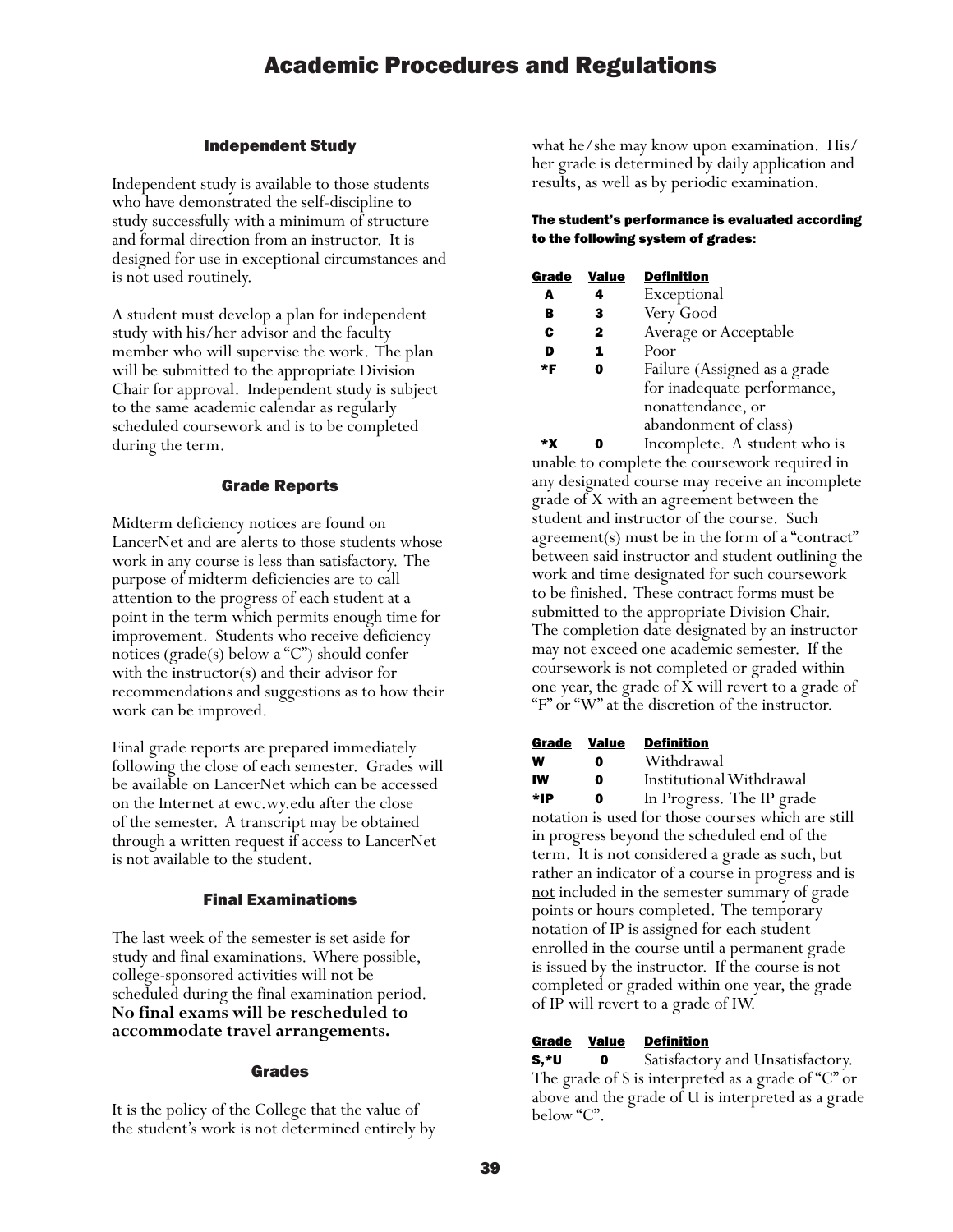#### Independent Study

Independent study is available to those students who have demonstrated the self-discipline to study successfully with a minimum of structure and formal direction from an instructor. It is designed for use in exceptional circumstances and is not used routinely.

A student must develop a plan for independent study with his/her advisor and the faculty member who will supervise the work. The plan will be submitted to the appropriate Division Chair for approval. Independent study is subject to the same academic calendar as regularly scheduled coursework and is to be completed during the term.

#### Grade Reports

Midterm deficiency notices are found on LancerNet and are alerts to those students whose work in any course is less than satisfactory. The purpose of midterm deficiencies are to call attention to the progress of each student at a point in the term which permits enough time for improvement. Students who receive deficiency notices ( $\text{grade}(s)$  below a "C") should confer with the instructor(s) and their advisor for recommendations and suggestions as to how their work can be improved.

Final grade reports are prepared immediately following the close of each semester. Grades will be available on LancerNet which can be accessed on the Internet at ewc.wy.edu after the close of the semester. A transcript may be obtained through a written request if access to LancerNet is not available to the student.

#### Final Examinations

The last week of the semester is set aside for study and final examinations. Where possible, college-sponsored activities will not be scheduled during the final examination period. **No final exams will be rescheduled to accommodate travel arrangements.**

#### Grades

It is the policy of the College that the value of the student's work is not determined entirely by

what he/she may know upon examination. His/ her grade is determined by daily application and results, as well as by periodic examination.

#### The student's performance is evaluated according to the following system of grades:

| Grade | <b>Value</b> | <b>Definition</b>            |
|-------|--------------|------------------------------|
| A     | 4            | Exceptional                  |
| в     | 3            | Very Good                    |
| C     | 2            | Average or Acceptable        |
| D     | 1            | Poor                         |
| *F    | O            | Failure (Assigned as a grade |
|       |              | for inadequate performance,  |
|       |              | nonattendance, or            |
|       |              | abandonment of class)        |
|       |              |                              |

 \*X 0 Incomplete. A student who is unable to complete the coursework required in any designated course may receive an incomplete grade of X with an agreement between the student and instructor of the course. Such agreement(s) must be in the form of a "contract" between said instructor and student outlining the work and time designated for such coursework to be finished. These contract forms must be submitted to the appropriate Division Chair. The completion date designated by an instructor may not exceed one academic semester. If the coursework is not completed or graded within one year, the grade of X will revert to a grade of "F" or "W" at the discretion of the instructor.

| Grade | Value | <b>Definition</b>         |
|-------|-------|---------------------------|
| W. J  |       | $M/LL$ , $l_{\text{max}}$ |

**W 0** Withdrawal IW 0 Institutional Withdrawal

\*IP 0 In Progress. The IP grade notation is used for those courses which are still in progress beyond the scheduled end of the term. It is not considered a grade as such, but rather an indicator of a course in progress and is not included in the semester summary of grade points or hours completed. The temporary notation of IP is assigned for each student enrolled in the course until a permanent grade is issued by the instructor. If the course is not completed or graded within one year, the grade of IP will revert to a grade of IW.

#### Grade Value Definition

S,\*U 0 Satisfactory and Unsatisfactory. The grade of S is interpreted as a grade of "C" or above and the grade of U is interpreted as a grade below "C".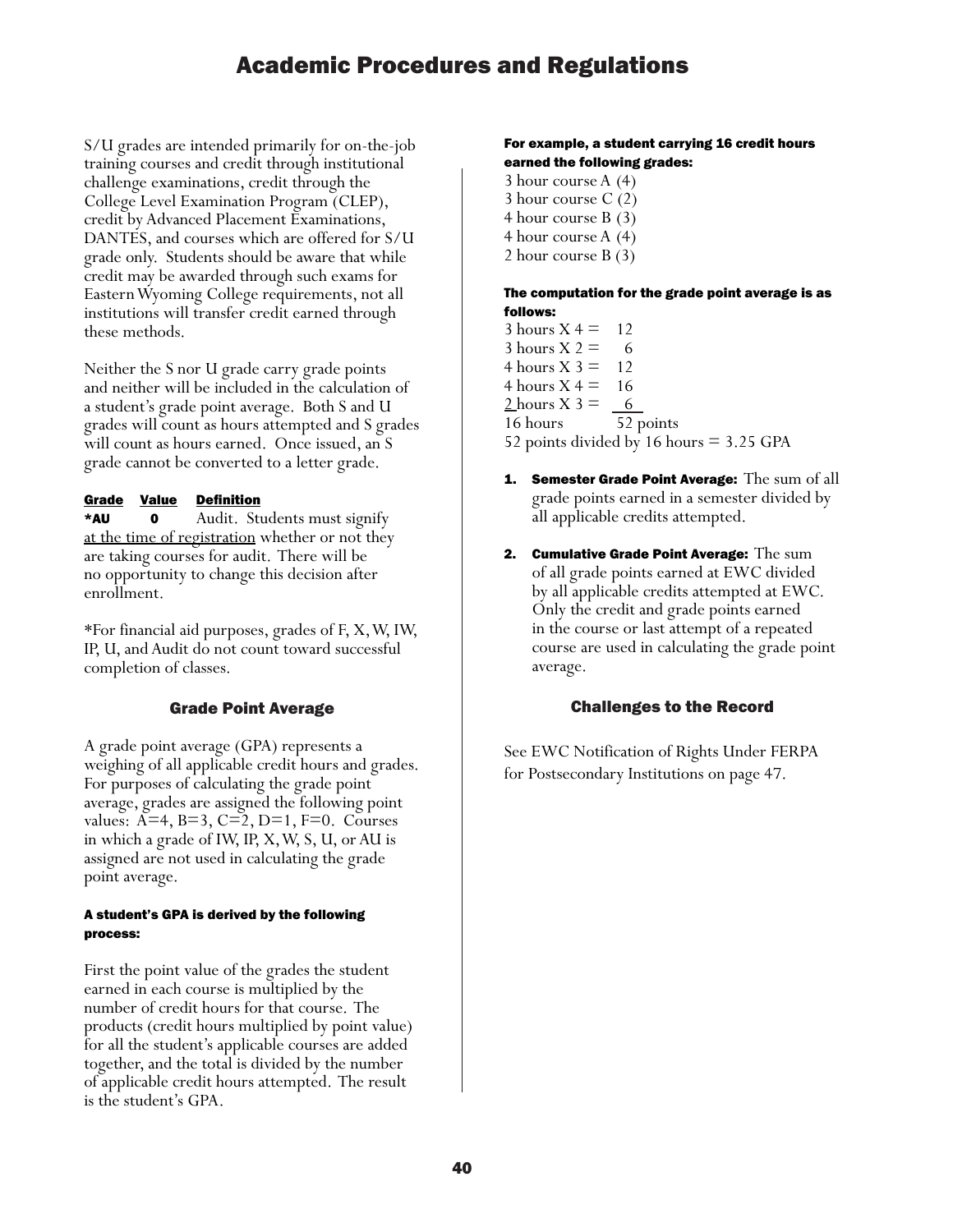S/U grades are intended primarily for on-the-job training courses and credit through institutional challenge examinations, credit through the College Level Examination Program (CLEP), credit by Advanced Placement Examinations, DANTES, and courses which are offered for S/U grade only. Students should be aware that while credit may be awarded through such exams for Eastern Wyoming College requirements, not all institutions will transfer credit earned through these methods.

Neither the S nor U grade carry grade points and neither will be included in the calculation of a student's grade point average. Both S and U grades will count as hours attempted and S grades will count as hours earned. Once issued, an S grade cannot be converted to a letter grade.

#### Grade Value Definition

\*AU 0 Audit. Students must signify at the time of registration whether or not they are taking courses for audit. There will be no opportunity to change this decision after enrollment.

\*For financial aid purposes, grades of F, X, W, IW, IP, U, and Audit do not count toward successful completion of classes.

#### Grade Point Average

A grade point average (GPA) represents a weighing of all applicable credit hours and grades. For purposes of calculating the grade point average, grades are assigned the following point values: A=4, B=3, C=2, D=1, F=0. Courses in which a grade of IW, IP, X, W, S, U, or AU is assigned are not used in calculating the grade point average.

#### A student's GPA is derived by the following process:

First the point value of the grades the student earned in each course is multiplied by the number of credit hours for that course. The products (credit hours multiplied by point value) for all the student's applicable courses are added together, and the total is divided by the number of applicable credit hours attempted. The result is the student's GPA.

#### For example, a student carrying 16 credit hours earned the following grades:

3 hour course A (4) 3 hour course C (2) 4 hour course B (3) 4 hour course A (4) 2 hour course B (3)

#### The computation for the grade point average is as follows:

- $3$  hours  $X = 12$ 3 hours  $X = 6$ 4 hours  $X$  3 = 12 4 hours  $X = 16$ 2 hours  $X = 6$ 16 hours 52 points 52 points divided by 16 hours = 3.25 GPA
- **1.** Semester Grade Point Average: The sum of all grade points earned in a semester divided by all applicable credits attempted.
- 2. Cumulative Grade Point Average: The sum of all grade points earned at EWC divided by all applicable credits attempted at EWC. Only the credit and grade points earned in the course or last attempt of a repeated course are used in calculating the grade point average.

#### Challenges to the Record

See EWC Notification of Rights Under FERPA for Postsecondary Institutions on page 47.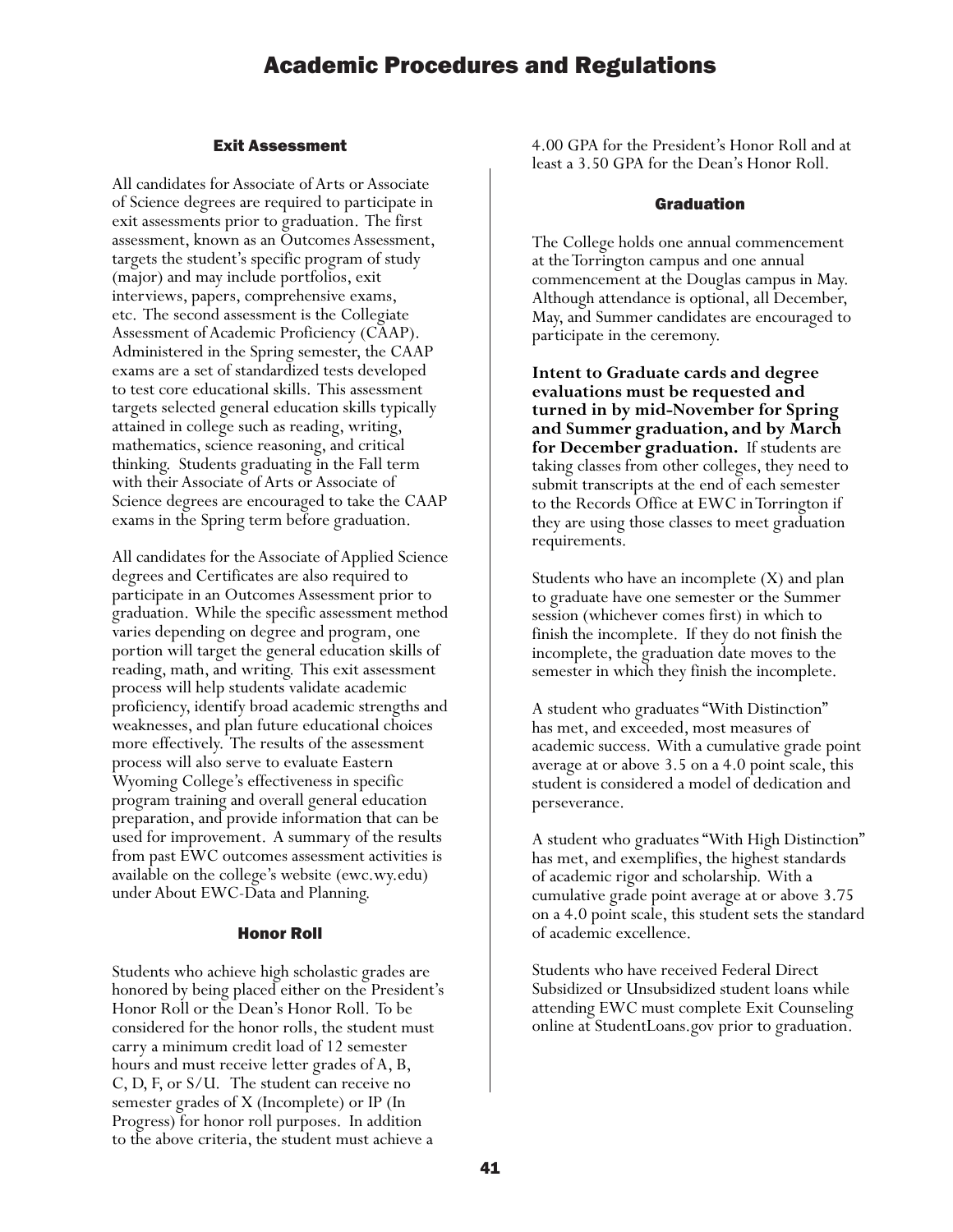#### Exit Assessment

All candidates for Associate of Arts or Associate of Science degrees are required to participate in exit assessments prior to graduation. The first assessment, known as an Outcomes Assessment, targets the student's specific program of study (major) and may include portfolios, exit interviews, papers, comprehensive exams, etc. The second assessment is the Collegiate Assessment of Academic Proficiency (CAAP). Administered in the Spring semester, the CAAP exams are a set of standardized tests developed to test core educational skills. This assessment targets selected general education skills typically attained in college such as reading, writing, mathematics, science reasoning, and critical thinking. Students graduating in the Fall term with their Associate of Arts or Associate of Science degrees are encouraged to take the CAAP exams in the Spring term before graduation.

All candidates for the Associate of Applied Science degrees and Certificates are also required to participate in an Outcomes Assessment prior to graduation. While the specific assessment method varies depending on degree and program, one portion will target the general education skills of reading, math, and writing. This exit assessment process will help students validate academic proficiency, identify broad academic strengths and weaknesses, and plan future educational choices more effectively. The results of the assessment process will also serve to evaluate Eastern Wyoming College's effectiveness in specific program training and overall general education preparation, and provide information that can be used for improvement. A summary of the results from past EWC outcomes assessment activities is available on the college's website (ewc.wy.edu) under About EWC-Data and Planning.

#### Honor Roll

Students who achieve high scholastic grades are honored by being placed either on the President's Honor Roll or the Dean's Honor Roll. To be considered for the honor rolls, the student must carry a minimum credit load of 12 semester hours and must receive letter grades of A, B, C, D, F, or S/U. The student can receive no semester grades of X (Incomplete) or IP (In Progress) for honor roll purposes. In addition to the above criteria, the student must achieve a

4.00 GPA for the President's Honor Roll and at least a 3.50 GPA for the Dean's Honor Roll.

#### Graduation

The College holds one annual commencement at the Torrington campus and one annual commencement at the Douglas campus in May. Although attendance is optional, all December, May, and Summer candidates are encouraged to participate in the ceremony.

**Intent to Graduate cards and degree evaluations must be requested and turned in by mid-November for Spring and Summer graduation, and by March for December graduation.** If students are taking classes from other colleges, they need to submit transcripts at the end of each semester to the Records Office at EWC in Torrington if they are using those classes to meet graduation requirements.

Students who have an incomplete (X) and plan to graduate have one semester or the Summer session (whichever comes first) in which to finish the incomplete. If they do not finish the incomplete, the graduation date moves to the semester in which they finish the incomplete.

A student who graduates "With Distinction" has met, and exceeded, most measures of academic success. With a cumulative grade point average at or above 3.5 on a 4.0 point scale, this student is considered a model of dedication and perseverance.

A student who graduates "With High Distinction" has met, and exemplifies, the highest standards of academic rigor and scholarship. With a cumulative grade point average at or above 3.75 on a 4.0 point scale, this student sets the standard of academic excellence.

Students who have received Federal Direct Subsidized or Unsubsidized student loans while attending EWC must complete Exit Counseling online at StudentLoans.gov prior to graduation.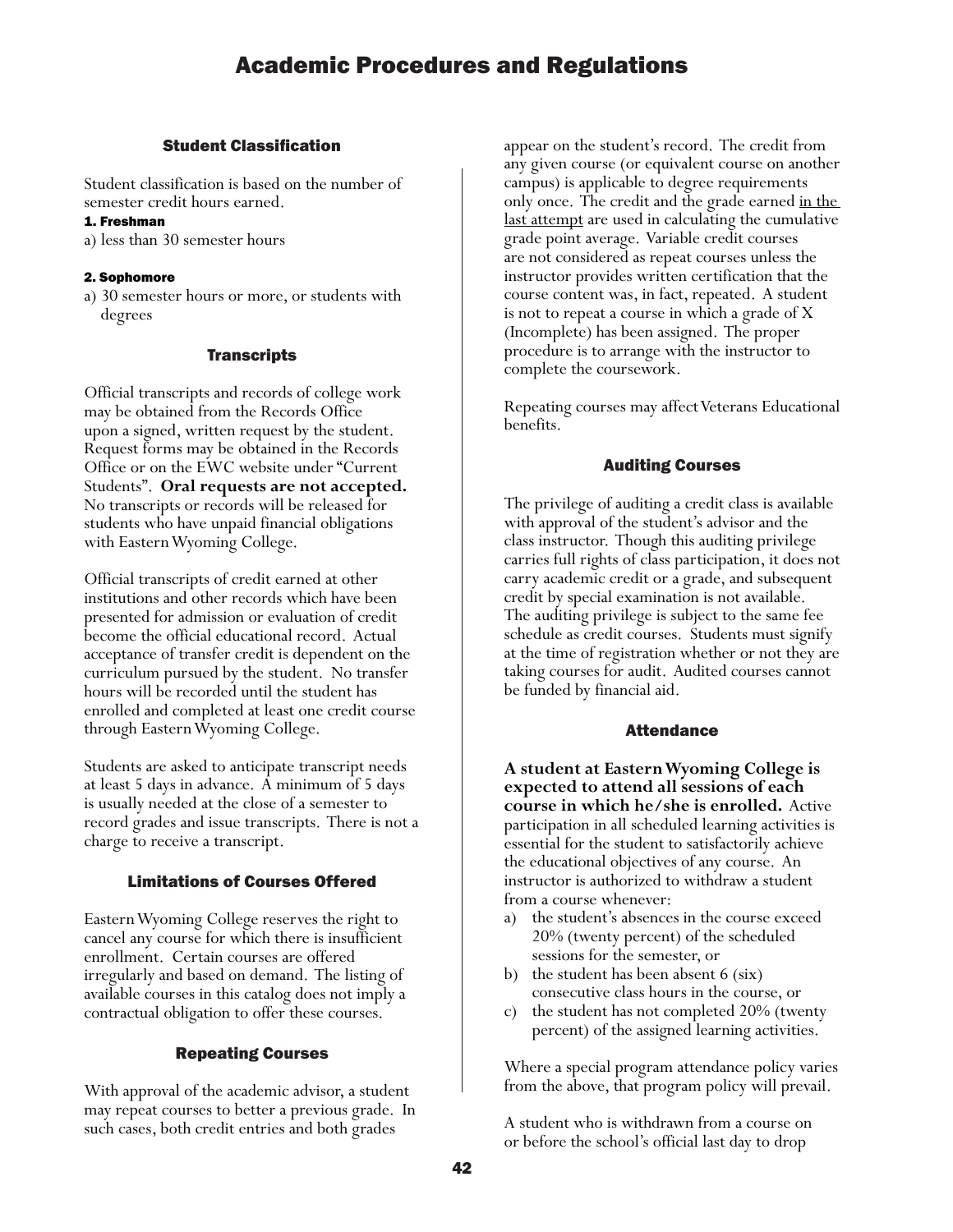#### Student Classification

Student classification is based on the number of semester credit hours earned.

#### 1. Freshman

a) less than 30 semester hours

#### 2. Sophomore

a) 30 semester hours or more, or students with degrees

#### **Transcripts**

Official transcripts and records of college work may be obtained from the Records Office upon a signed, written request by the student. Request forms may be obtained in the Records Office or on the EWC website under "Current Students". **Oral requests are not accepted.** No transcripts or records will be released for students who have unpaid financial obligations with Eastern Wyoming College.

Official transcripts of credit earned at other institutions and other records which have been presented for admission or evaluation of credit become the official educational record. Actual acceptance of transfer credit is dependent on the curriculum pursued by the student. No transfer hours will be recorded until the student has enrolled and completed at least one credit course through Eastern Wyoming College.

Students are asked to anticipate transcript needs at least 5 days in advance. A minimum of 5 days is usually needed at the close of a semester to record grades and issue transcripts. There is not a charge to receive a transcript.

#### Limitations of Courses Offered

Eastern Wyoming College reserves the right to cancel any course for which there is insufficient enrollment. Certain courses are offered irregularly and based on demand. The listing of available courses in this catalog does not imply a contractual obligation to offer these courses.

#### Repeating Courses

With approval of the academic advisor, a student may repeat courses to better a previous grade. In such cases, both credit entries and both grades

appear on the student's record. The credit from any given course (or equivalent course on another campus) is applicable to degree requirements only once. The credit and the grade earned <u>in the</u> last attempt are used in calculating the cumulative grade point average. Variable credit courses are not considered as repeat courses unless the instructor provides written certification that the course content was, in fact, repeated. A student is not to repeat a course in which a grade of X (Incomplete) has been assigned. The proper procedure is to arrange with the instructor to complete the coursework.

Repeating courses may affect Veterans Educational benefits.

#### Auditing Courses

The privilege of auditing a credit class is available with approval of the student's advisor and the class instructor. Though this auditing privilege carries full rights of class participation, it does not carry academic credit or a grade, and subsequent credit by special examination is not available. The auditing privilege is subject to the same fee schedule as credit courses. Students must signify at the time of registration whether or not they are taking courses for audit. Audited courses cannot be funded by financial aid.

#### Attendance

**A student at Eastern Wyoming College is expected to attend all sessions of each course in which he/she is enrolled.** Active participation in all scheduled learning activities is essential for the student to satisfactorily achieve the educational objectives of any course. An instructor is authorized to withdraw a student from a course whenever:

- a) the student's absences in the course exceed 20% (twenty percent) of the scheduled sessions for the semester, or
- b) the student has been absent 6 (six) consecutive class hours in the course, or
- c) the student has not completed 20% (twenty percent) of the assigned learning activities.

Where a special program attendance policy varies from the above, that program policy will prevail.

A student who is withdrawn from a course on or before the school's official last day to drop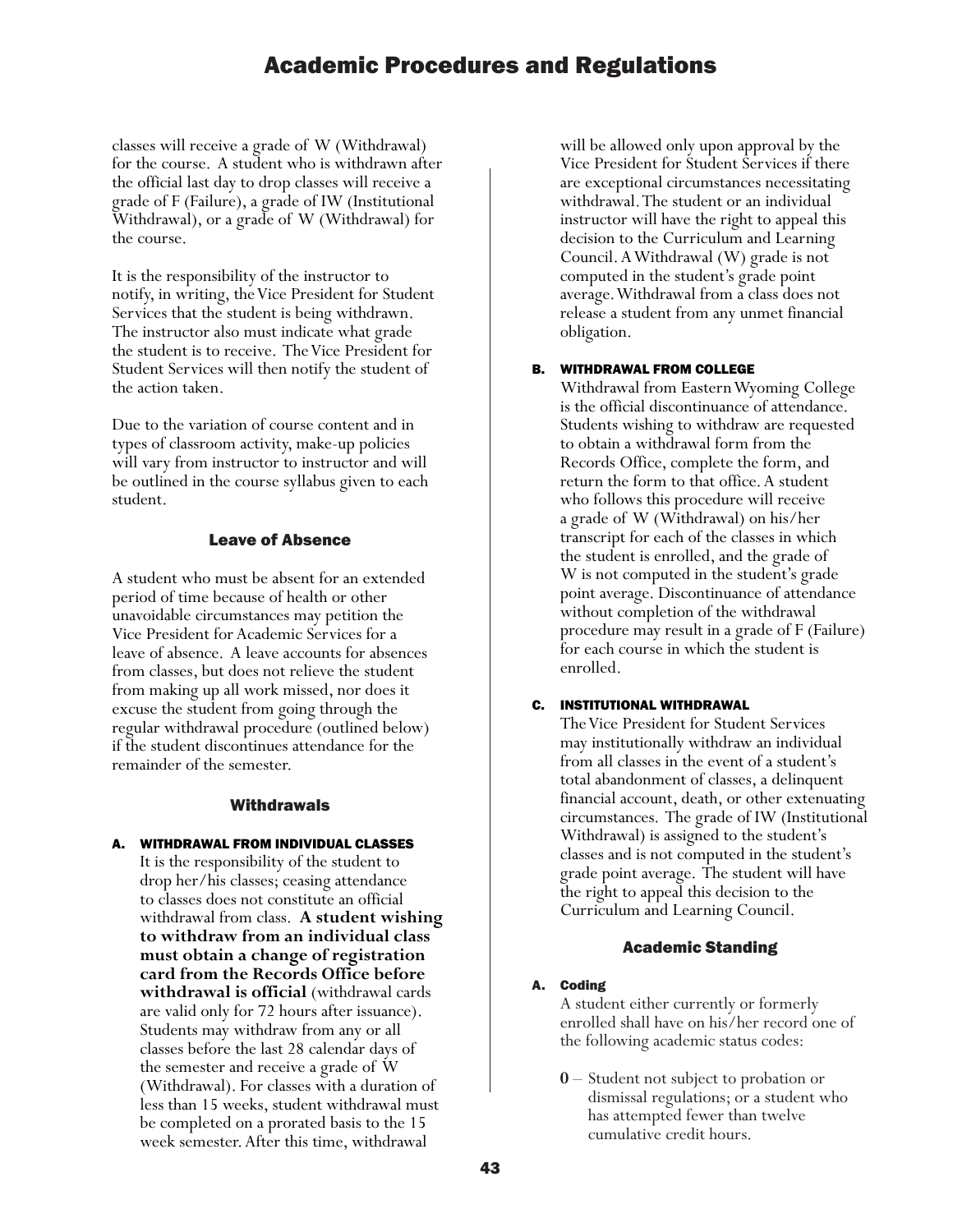classes will receive a grade of W (Withdrawal) for the course. A student who is withdrawn after the official last day to drop classes will receive a grade of F (Failure), a grade of IW (Institutional Withdrawal), or a grade of W (Withdrawal) for the course.

It is the responsibility of the instructor to notify, in writing, the Vice President for Student Services that the student is being withdrawn. The instructor also must indicate what grade the student is to receive. The Vice President for Student Services will then notify the student of the action taken.

Due to the variation of course content and in types of classroom activity, make-up policies will vary from instructor to instructor and will be outlined in the course syllabus given to each student.

#### Leave of Absence

A student who must be absent for an extended period of time because of health or other unavoidable circumstances may petition the Vice President for Academic Services for a leave of absence. A leave accounts for absences from classes, but does not relieve the student from making up all work missed, nor does it excuse the student from going through the regular withdrawal procedure (outlined below) if the student discontinues attendance for the remainder of the semester.

#### **Withdrawals**

A. WITHDRAWAL FROM INDIVIDUAL CLASSES It is the responsibility of the student to drop her/his classes; ceasing attendance to classes does not constitute an official withdrawal from class. **A student wishing to withdraw from an individual class must obtain a change of registration card from the Records Office before withdrawal is official** (withdrawal cards are valid only for 72 hours after issuance). Students may withdraw from any or all classes before the last 28 calendar days of the semester and receive a grade of W (Withdrawal). For classes with a duration of less than 15 weeks, student withdrawal must be completed on a prorated basis to the 15 week semester. After this time, withdrawal

will be allowed only upon approval by the Vice President for Student Services if there are exceptional circumstances necessitating withdrawal. The student or an individual instructor will have the right to appeal this decision to the Curriculum and Learning Council. A Withdrawal (W) grade is not computed in the student's grade point average. Withdrawal from a class does not release a student from any unmet financial obligation.

#### B. WITHDRAWAL FROM COLLEGE

Withdrawal from Eastern Wyoming College is the official discontinuance of attendance. Students wishing to withdraw are requested to obtain a withdrawal form from the Records Office, complete the form, and return the form to that office. A student who follows this procedure will receive a grade of W (Withdrawal) on his/her transcript for each of the classes in which the student is enrolled, and the grade of W is not computed in the student's grade point average. Discontinuance of attendance without completion of the withdrawal procedure may result in a grade of F (Failure) for each course in which the student is enrolled.

#### C. INSTITUTIONAL WITHDRAWAL

The Vice President for Student Services may institutionally withdraw an individual from all classes in the event of a student's total abandonment of classes, a delinquent financial account, death, or other extenuating circumstances. The grade of IW (Institutional Withdrawal) is assigned to the student's classes and is not computed in the student's grade point average. The student will have the right to appeal this decision to the Curriculum and Learning Council.

#### Academic Standing

#### A. Coding

A student either currently or formerly enrolled shall have on his/her record one of the following academic status codes:

**0** – Student not subject to probation or dismissal regulations; or a student who has attempted fewer than twelve cumulative credit hours.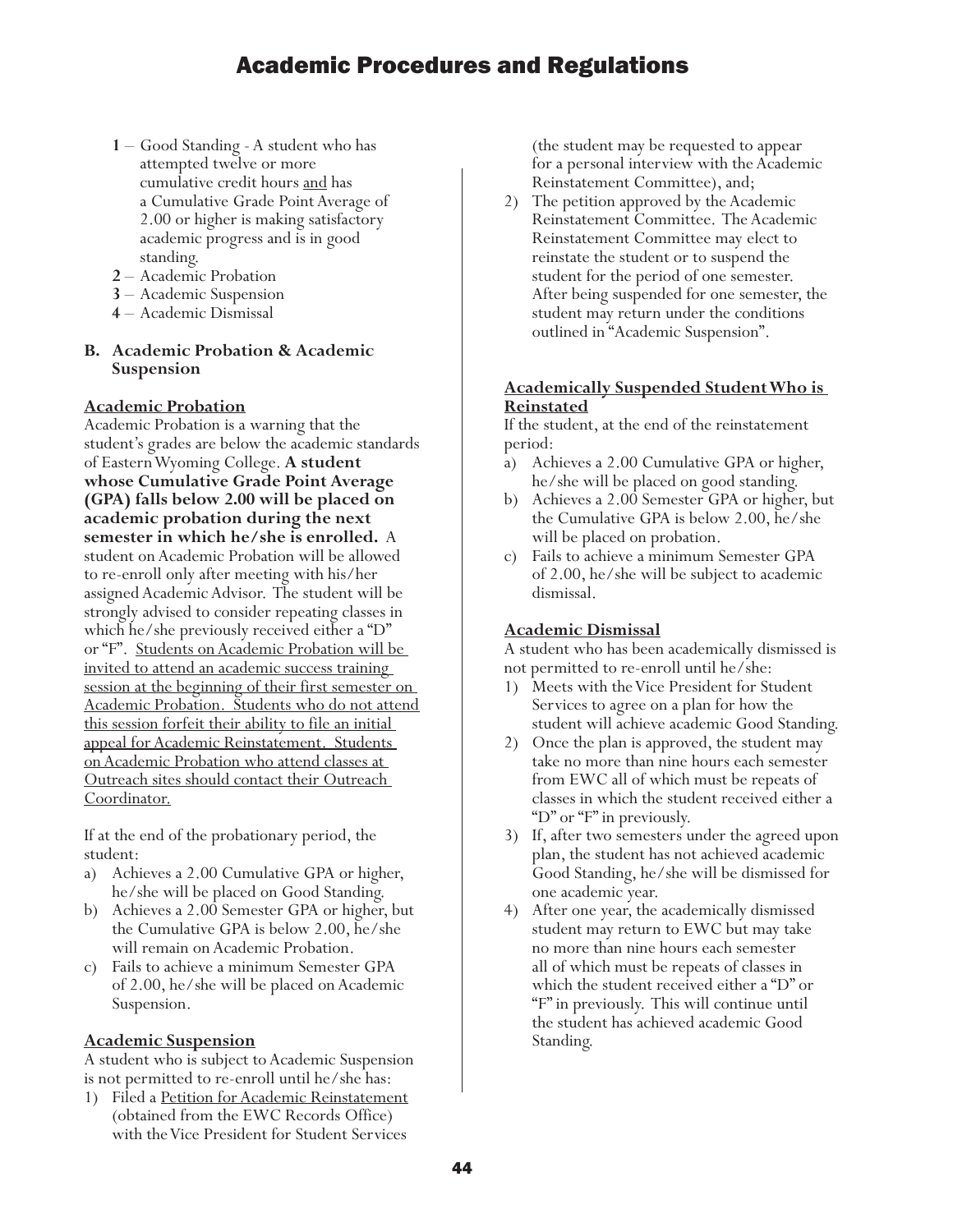- **<sup>1</sup>** Good Standing A student who has attempted twelve or more cumulative credit hours and has a Cumulative Grade Point Average of 2.00 or higher is making satisfactory academic progress and is in good standing.
- **2** Academic Probation
- **3** Academic Suspension
- **4** Academic Dismissal

## **B. Academic Probation & Academic Suspension**

#### **Academic Probation**

Academic Probation is a warning that the student's grades are below the academic standards of Eastern Wyoming College. **A student whose Cumulative Grade Point Average (GPA) falls below 2.00 will be placed on academic probation during the next semester in which he/she is enrolled.** A student on Academic Probation will be allowed to re-enroll only after meeting with his/her assigned Academic Advisor. The student will be strongly advised to consider repeating classes in which he/she previously received either a "D" or "F". Students on Academic Probation will be invited to attend an academic success training session at the beginning of their first semester on Academic Probation. Students who do not attend this session forfeit their ability to file an initial appeal for Academic Reinstatement. Students on Academic Probation who attend classes at Outreach sites should contact their Outreach Coordinator.

If at the end of the probationary period, the student:

- a) Achieves a 2.00 Cumulative GPA or higher, he/she will be placed on Good Standing.
- b) Achieves a 2.00 Semester GPA or higher, but the Cumulative GPA is below 2.00, he/she will remain on Academic Probation.
- c) Fails to achieve a minimum Semester GPA of 2.00, he/she will be placed on Academic Suspension.

#### **Academic Suspension**

A student who is subject to Academic Suspension is not permitted to re-enroll until he/she has:

1) Filed a Petition for Academic Reinstatement (obtained from the EWC Records Office) with the Vice President for Student Services

(the student may be requested to appear for a personal interview with the Academic Reinstatement Committee), and;

2) The petition approved by the Academic Reinstatement Committee. The Academic Reinstatement Committee may elect to reinstate the student or to suspend the student for the period of one semester. After being suspended for one semester, the student may return under the conditions outlined in "Academic Suspension".

#### **Academically Suspended Student Who is Reinstated**

If the student, at the end of the reinstatement period:

- a) Achieves a 2.00 Cumulative GPA or higher, he/she will be placed on good standing.
- b) Achieves a 2.00 Semester GPA or higher, but the Cumulative GPA is below 2.00, he/she will be placed on probation.
- c) Fails to achieve a minimum Semester GPA of 2.00, he/she will be subject to academic dismissal.

#### **Academic Dismissal**

A student who has been academically dismissed is not permitted to re-enroll until he/she:

- 1) Meets with the Vice President for Student Services to agree on a plan for how the student will achieve academic Good Standing.
- 2) Once the plan is approved, the student may take no more than nine hours each semester from EWC all of which must be repeats of classes in which the student received either a "D" or "F" in previously.
- 3) If, after two semesters under the agreed upon plan, the student has not achieved academic Good Standing, he/she will be dismissed for one academic year.
- 4) After one year, the academically dismissed student may return to EWC but may take no more than nine hours each semester all of which must be repeats of classes in which the student received either a "D" or "F" in previously. This will continue until the student has achieved academic Good Standing.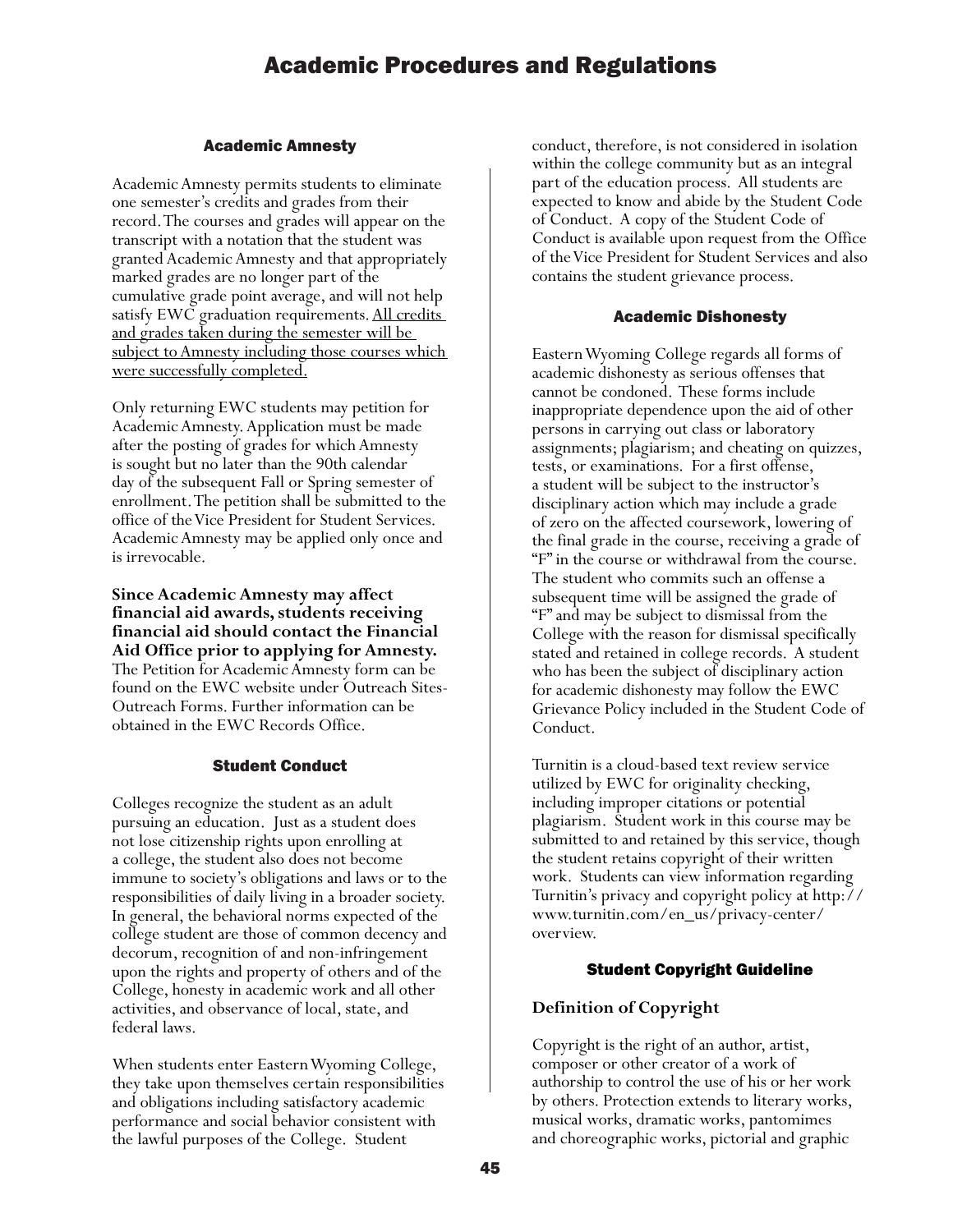#### Academic Amnesty

Academic Amnesty permits students to eliminate one semester's credits and grades from their record. The courses and grades will appear on the transcript with a notation that the student was granted Academic Amnesty and that appropriately marked grades are no longer part of the cumulative grade point average, and will not help satisfy EWC graduation requirements. All credits and grades taken during the semester will be subject to Amnesty including those courses which were successfully completed.

Only returning EWC students may petition for Academic Amnesty. Application must be made after the posting of grades for which Amnesty is sought but no later than the 90th calendar day of the subsequent Fall or Spring semester of enrollment. The petition shall be submitted to the office of the Vice President for Student Services. Academic Amnesty may be applied only once and is irrevocable.

**Since Academic Amnesty may affect financial aid awards, students receiving financial aid should contact the Financial Aid Office prior to applying for Amnesty.**  The Petition for Academic Amnesty form can be found on the EWC website under Outreach Sites-Outreach Forms. Further information can be obtained in the EWC Records Office.

#### Student Conduct

Colleges recognize the student as an adult pursuing an education. Just as a student does not lose citizenship rights upon enrolling at a college, the student also does not become immune to society's obligations and laws or to the responsibilities of daily living in a broader society. In general, the behavioral norms expected of the college student are those of common decency and decorum, recognition of and non-infringement upon the rights and property of others and of the College, honesty in academic work and all other activities, and observance of local, state, and federal laws.

When students enter Eastern Wyoming College, they take upon themselves certain responsibilities and obligations including satisfactory academic performance and social behavior consistent with the lawful purposes of the College. Student

conduct, therefore, is not considered in isolation within the college community but as an integral part of the education process. All students are expected to know and abide by the Student Code of Conduct. A copy of the Student Code of Conduct is available upon request from the Office of the Vice President for Student Services and also contains the student grievance process.

#### Academic Dishonesty

Eastern Wyoming College regards all forms of academic dishonesty as serious offenses that cannot be condoned. These forms include inappropriate dependence upon the aid of other persons in carrying out class or laboratory assignments; plagiarism; and cheating on quizzes, tests, or examinations. For a first offense, a student will be subject to the instructor's disciplinary action which may include a grade of zero on the affected coursework, lowering of the final grade in the course, receiving a grade of "F" in the course or withdrawal from the course. The student who commits such an offense a subsequent time will be assigned the grade of "F" and may be subject to dismissal from the College with the reason for dismissal specifically stated and retained in college records. A student who has been the subject of disciplinary action for academic dishonesty may follow the EWC Grievance Policy included in the Student Code of Conduct.

Turnitin is a cloud-based text review service utilized by EWC for originality checking, including improper citations or potential plagiarism. Student work in this course may be submitted to and retained by this service, though the student retains copyright of their written work. Students can view information regarding Turnitin's privacy and copyright policy at http:// www.turnitin.com/en\_us/privacy-center/ overview.

#### Student Copyright Guideline

#### **Definition of Copyright**

Copyright is the right of an author, artist, composer or other creator of a work of authorship to control the use of his or her work by others. Protection extends to literary works, musical works, dramatic works, pantomimes and choreographic works, pictorial and graphic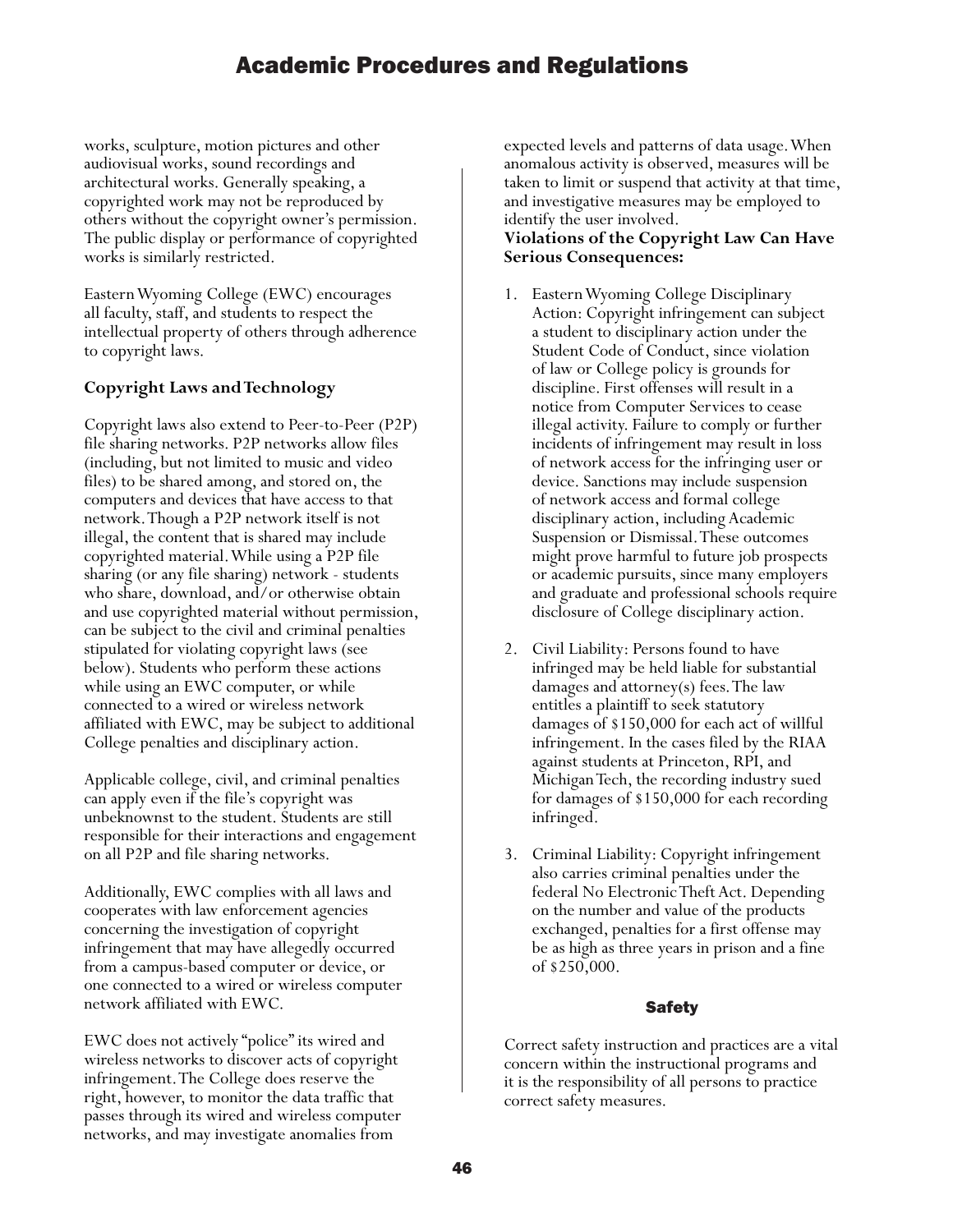works, sculpture, motion pictures and other audiovisual works, sound recordings and architectural works. Generally speaking, a copyrighted work may not be reproduced by others without the copyright owner's permission. The public display or performance of copyrighted works is similarly restricted.

Eastern Wyoming College (EWC) encourages all faculty, staff, and students to respect the intellectual property of others through adherence to copyright laws.

#### **Copyright Laws and Technology**

Copyright laws also extend to Peer-to-Peer (P2P) file sharing networks. P2P networks allow files (including, but not limited to music and video files) to be shared among, and stored on, the computers and devices that have access to that network. Though a P2P network itself is not illegal, the content that is shared may include copyrighted material. While using a P2P file sharing (or any file sharing) network - students who share, download, and/or otherwise obtain and use copyrighted material without permission, can be subject to the civil and criminal penalties stipulated for violating copyright laws (see below). Students who perform these actions while using an EWC computer, or while connected to a wired or wireless network affiliated with EWC, may be subject to additional College penalties and disciplinary action.

Applicable college, civil, and criminal penalties can apply even if the file's copyright was unbeknownst to the student. Students are still responsible for their interactions and engagement on all P2P and file sharing networks.

Additionally, EWC complies with all laws and cooperates with law enforcement agencies concerning the investigation of copyright infringement that may have allegedly occurred from a campus-based computer or device, or one connected to a wired or wireless computer network affiliated with EWC.

EWC does not actively "police" its wired and wireless networks to discover acts of copyright infringement. The College does reserve the right, however, to monitor the data traffic that passes through its wired and wireless computer networks, and may investigate anomalies from

expected levels and patterns of data usage. When anomalous activity is observed, measures will be taken to limit or suspend that activity at that time, and investigative measures may be employed to identify the user involved.

#### **Violations of the Copyright Law Can Have Serious Consequences:**

- 1. Eastern Wyoming College Disciplinary Action: Copyright infringement can subject a student to disciplinary action under the Student Code of Conduct, since violation of law or College policy is grounds for discipline. First offenses will result in a notice from Computer Services to cease illegal activity. Failure to comply or further incidents of infringement may result in loss of network access for the infringing user or device. Sanctions may include suspension of network access and formal college disciplinary action, including Academic Suspension or Dismissal. These outcomes might prove harmful to future job prospects or academic pursuits, since many employers and graduate and professional schools require disclosure of College disciplinary action.
- 2. Civil Liability: Persons found to have infringed may be held liable for substantial damages and attorney(s) fees. The law entitles a plaintiff to seek statutory damages of \$150,000 for each act of willful infringement. In the cases filed by the RIAA against students at Princeton, RPI, and Michigan Tech, the recording industry sued for damages of \$150,000 for each recording infringed.
- 3. Criminal Liability: Copyright infringement also carries criminal penalties under the federal No Electronic Theft Act. Depending on the number and value of the products exchanged, penalties for a first offense may be as high as three years in prison and a fine of \$250,000.

#### Safety

Correct safety instruction and practices are a vital concern within the instructional programs and it is the responsibility of all persons to practice correct safety measures.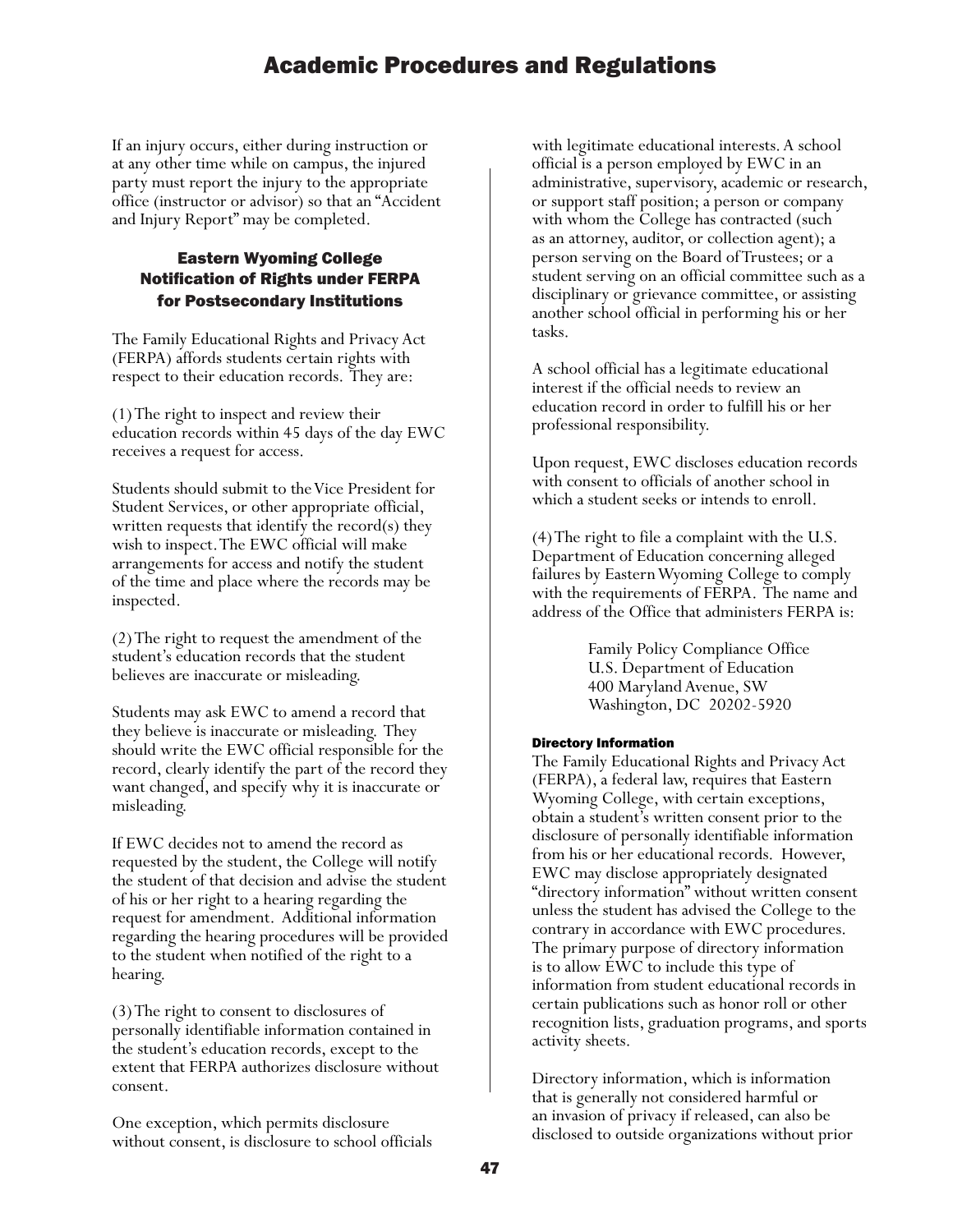If an injury occurs, either during instruction or at any other time while on campus, the injured party must report the injury to the appropriate office (instructor or advisor) so that an "Accident and Injury Report" may be completed.

#### Eastern Wyoming College Notification of Rights under FERPA for Postsecondary Institutions

The Family Educational Rights and Privacy Act (FERPA) affords students certain rights with respect to their education records. They are:

(1) The right to inspect and review their education records within 45 days of the day EWC receives a request for access.

Students should submit to the Vice President for Student Services, or other appropriate official, written requests that identify the record(s) they wish to inspect. The EWC official will make arrangements for access and notify the student of the time and place where the records may be inspected.

(2) The right to request the amendment of the student's education records that the student believes are inaccurate or misleading.

Students may ask EWC to amend a record that they believe is inaccurate or misleading. They should write the EWC official responsible for the record, clearly identify the part of the record they want changed, and specify why it is inaccurate or misleading.

If EWC decides not to amend the record as requested by the student, the College will notify the student of that decision and advise the student of his or her right to a hearing regarding the request for amendment. Additional information regarding the hearing procedures will be provided to the student when notified of the right to a hearing.

(3) The right to consent to disclosures of personally identifiable information contained in the student's education records, except to the extent that FERPA authorizes disclosure without consent.

One exception, which permits disclosure without consent, is disclosure to school officials

with legitimate educational interests. A school official is a person employed by EWC in an administrative, supervisory, academic or research, or support staff position; a person or company with whom the College has contracted (such as an attorney, auditor, or collection agent); a person serving on the Board of Trustees; or a student serving on an official committee such as a disciplinary or grievance committee, or assisting another school official in performing his or her tasks.

A school official has a legitimate educational interest if the official needs to review an education record in order to fulfill his or her professional responsibility.

Upon request, EWC discloses education records with consent to officials of another school in which a student seeks or intends to enroll.

(4) The right to file a complaint with the U.S. Department of Education concerning alleged failures by Eastern Wyoming College to comply with the requirements of FERPA. The name and address of the Office that administers FERPA is:

> Family Policy Compliance Office U.S. Department of Education 400 Maryland Avenue, SW Washington, DC 20202-5920

#### Directory Information

The Family Educational Rights and Privacy Act (FERPA), a federal law, requires that Eastern Wyoming College, with certain exceptions, obtain a student's written consent prior to the disclosure of personally identifiable information from his or her educational records. However, EWC may disclose appropriately designated "directory information" without written consent unless the student has advised the College to the contrary in accordance with EWC procedures. The primary purpose of directory information is to allow EWC to include this type of information from student educational records in certain publications such as honor roll or other recognition lists, graduation programs, and sports activity sheets.

Directory information, which is information that is generally not considered harmful or an invasion of privacy if released, can also be disclosed to outside organizations without prior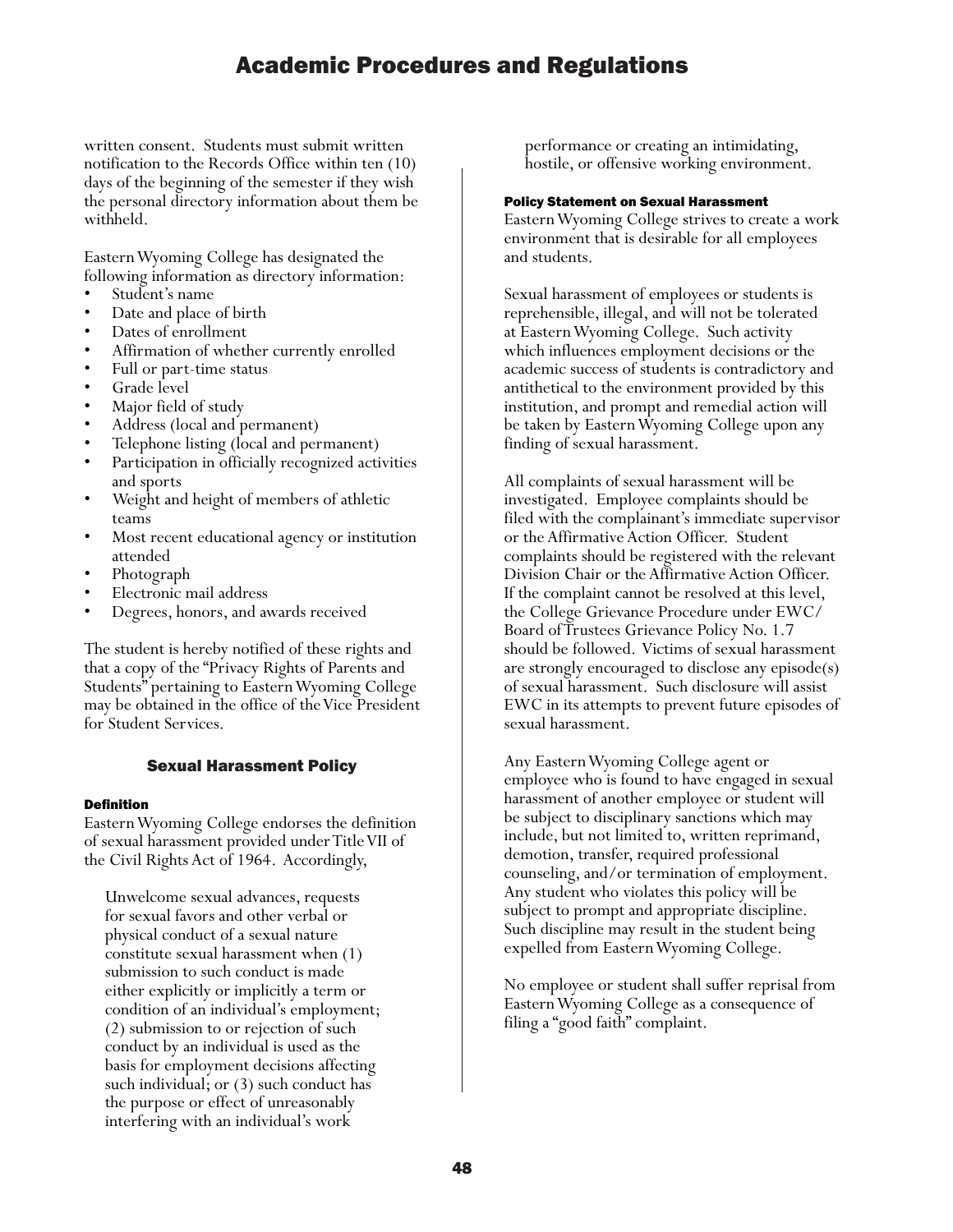written consent. Students must submit written notification to the Records Office within ten (10) days of the beginning of the semester if they wish the personal directory information about them be withheld.

Eastern Wyoming College has designated the following information as directory information:

- 
- 
- 
- † Student's name<br>
 Dates of enrollment<br>
 Affirmation of whether currently enrolled<br>
 Full or part-time status<br>
 Grade level<br>
 Major field of study<br>
 Address (local and permanent)
- 
- 
- 
- 
- 
- Telephone listing (local and permanent) Participation in officially recognized activities
- and sports<br>Weight and height of members of athletic
- teams<br>Most recent educational agency or institution
- 
- 
- attended<br>• Photograph<br>• Electronic mail address<br>• Degrees, honors, and awards received

The student is hereby notified of these rights and that a copy of the "Privacy Rights of Parents and Students" pertaining to Eastern Wyoming College may be obtained in the office of the Vice President for Student Services.

#### Sexual Harassment Policy

#### Definition

Eastern Wyoming College endorses the definition of sexual harassment provided under Title VII of the Civil Rights Act of 1964. Accordingly,

Unwelcome sexual advances, requests for sexual favors and other verbal or physical conduct of a sexual nature constitute sexual harassment when (1) submission to such conduct is made either explicitly or implicitly a term or condition of an individual's employment; (2) submission to or rejection of such conduct by an individual is used as the basis for employment decisions affecting such individual; or (3) such conduct has the purpose or effect of unreasonably interfering with an individual's work

performance or creating an intimidating, hostile, or offensive working environment.

#### Policy Statement on Sexual Harassment

Eastern Wyoming College strives to create a work environment that is desirable for all employees and students.

Sexual harassment of employees or students is reprehensible, illegal, and will not be tolerated at Eastern Wyoming College. Such activity which influences employment decisions or the academic success of students is contradictory and antithetical to the environment provided by this institution, and prompt and remedial action will be taken by Eastern Wyoming College upon any finding of sexual harassment.

All complaints of sexual harassment will be investigated. Employee complaints should be filed with the complainant's immediate supervisor or the Affirmative Action Officer. Student complaints should be registered with the relevant Division Chair or the Affirmative Action Officer. If the complaint cannot be resolved at this level, the College Grievance Procedure under EWC/ Board of Trustees Grievance Policy No. 1.7 should be followed. Victims of sexual harassment are strongly encouraged to disclose any episode(s) of sexual harassment. Such disclosure will assist EWC in its attempts to prevent future episodes of sexual harassment.

Any Eastern Wyoming College agent or employee who is found to have engaged in sexual harassment of another employee or student will be subject to disciplinary sanctions which may include, but not limited to, written reprimand, demotion, transfer, required professional counseling, and/or termination of employment. Any student who violates this policy will be subject to prompt and appropriate discipline. Such discipline may result in the student being expelled from Eastern Wyoming College.

No employee or student shall suffer reprisal from Eastern Wyoming College as a consequence of filing a "good faith" complaint.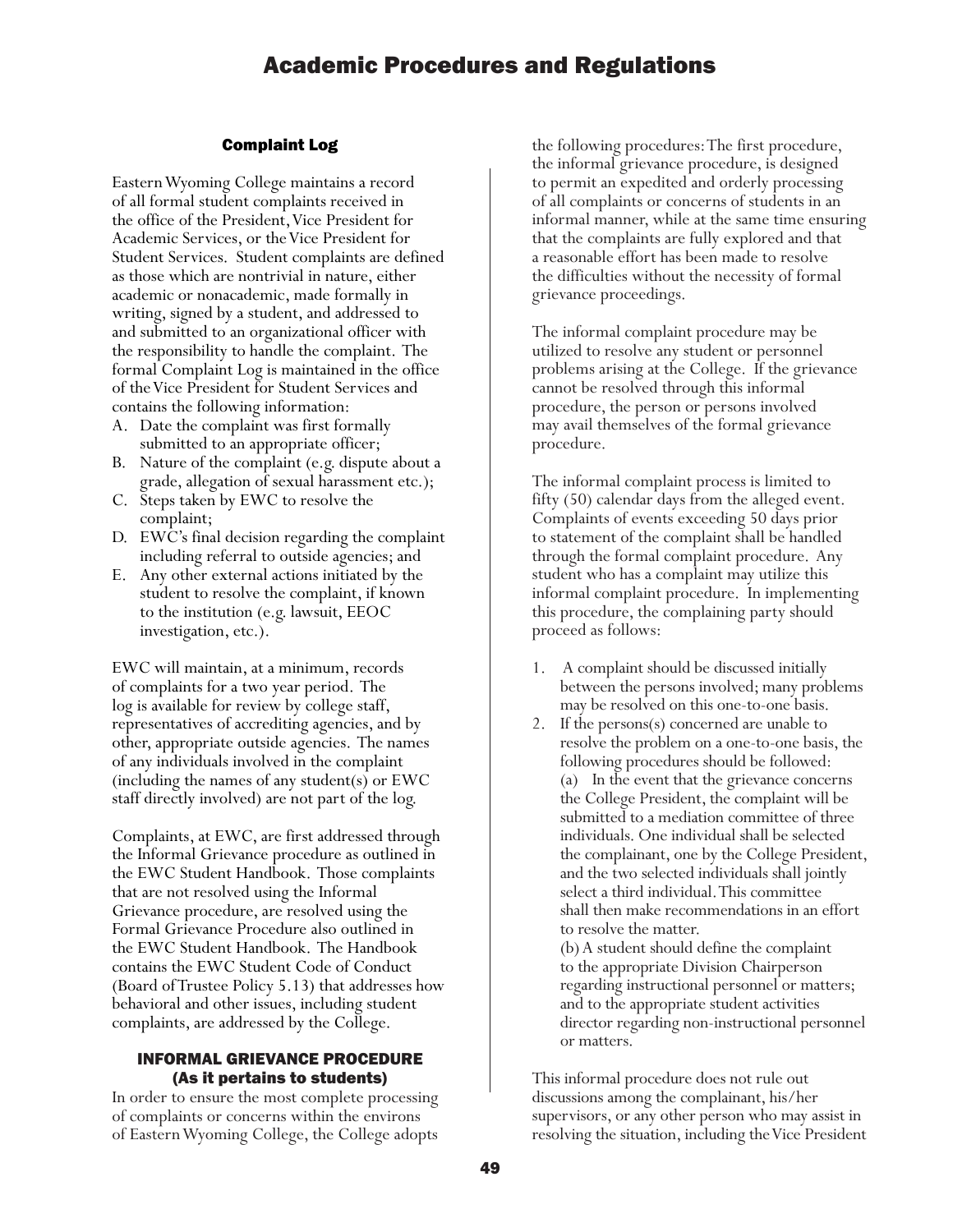#### Complaint Log

Eastern Wyoming College maintains a record of all formal student complaints received in the office of the President, Vice President for Academic Services, or the Vice President for Student Services. Student complaints are defined as those which are nontrivial in nature, either academic or nonacademic, made formally in writing, signed by a student, and addressed to and submitted to an organizational officer with the responsibility to handle the complaint. The formal Complaint Log is maintained in the office of the Vice President for Student Services and contains the following information:

- A. Date the complaint was first formally submitted to an appropriate officer;
- B. Nature of the complaint (e.g. dispute about a grade, allegation of sexual harassment etc.);
- C. Steps taken by EWC to resolve the complaint;
- D. EWC's final decision regarding the complaint including referral to outside agencies; and
- E. Any other external actions initiated by the student to resolve the complaint, if known to the institution (e.g. lawsuit, EEOC investigation, etc.).

EWC will maintain, at a minimum, records of complaints for a two year period. The log is available for review by college staff, representatives of accrediting agencies, and by other, appropriate outside agencies. The names of any individuals involved in the complaint (including the names of any student(s) or EWC staff directly involved) are not part of the log.

Complaints, at EWC, are first addressed through the Informal Grievance procedure as outlined in the EWC Student Handbook. Those complaints that are not resolved using the Informal Grievance procedure, are resolved using the Formal Grievance Procedure also outlined in the EWC Student Handbook. The Handbook contains the EWC Student Code of Conduct (Board of Trustee Policy 5.13) that addresses how behavioral and other issues, including student complaints, are addressed by the College.

#### INFORMAL GRIEVANCE PROCEDURE (As it pertains to students)

In order to ensure the most complete processing of complaints or concerns within the environs of Eastern Wyoming College, the College adopts

the following procedures: The first procedure, the informal grievance procedure, is designed to permit an expedited and orderly processing of all complaints or concerns of students in an informal manner, while at the same time ensuring that the complaints are fully explored and that a reasonable effort has been made to resolve the difficulties without the necessity of formal grievance proceedings.

The informal complaint procedure may be utilized to resolve any student or personnel problems arising at the College. If the grievance cannot be resolved through this informal procedure, the person or persons involved may avail themselves of the formal grievance procedure.

The informal complaint process is limited to fifty (50) calendar days from the alleged event. Complaints of events exceeding 50 days prior to statement of the complaint shall be handled through the formal complaint procedure. Any student who has a complaint may utilize this informal complaint procedure. In implementing this procedure, the complaining party should proceed as follows:

- 1. A complaint should be discussed initially between the persons involved; many problems may be resolved on this one-to-one basis.
- 2. If the persons(s) concerned are unable to resolve the problem on a one-to-one basis, the following procedures should be followed: (a) In the event that the grievance concerns the College President, the complaint will be submitted to a mediation committee of three individuals. One individual shall be selected the complainant, one by the College President, and the two selected individuals shall jointly select a third individual. This committee shall then make recommendations in an effort to resolve the matter.

(b) A student should define the complaint to the appropriate Division Chairperson regarding instructional personnel or matters; and to the appropriate student activities director regarding non-instructional personnel or matters.

This informal procedure does not rule out discussions among the complainant, his/her supervisors, or any other person who may assist in resolving the situation, including the Vice President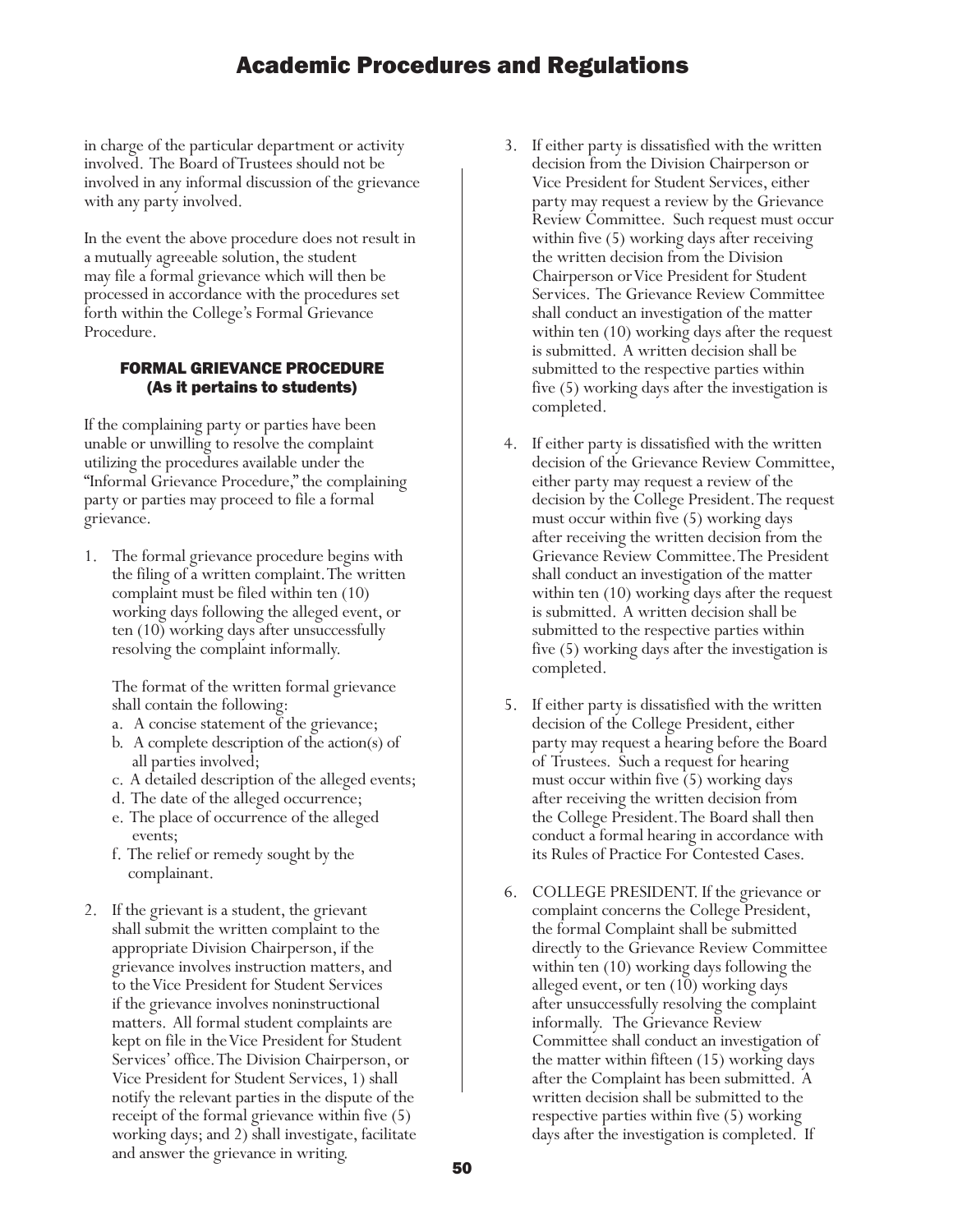in charge of the particular department or activity involved. The Board of Trustees should not be involved in any informal discussion of the grievance with any party involved.

In the event the above procedure does not result in a mutually agreeable solution, the student may file a formal grievance which will then be processed in accordance with the procedures set forth within the College's Formal Grievance Procedure.

#### FORMAL GRIEVANCE PROCEDURE (As it pertains to students)

If the complaining party or parties have been unable or unwilling to resolve the complaint utilizing the procedures available under the "Informal Grievance Procedure," the complaining party or parties may proceed to file a formal grievance.

1. The formal grievance procedure begins with the filing of a written complaint. The written complaint must be filed within ten (10) working days following the alleged event, or ten (10) working days after unsuccessfully resolving the complaint informally.

The format of the written formal grievance shall contain the following:

- a. A concise statement of the grievance;
- b. A complete description of the action(s) of all parties involved;
- c. A detailed description of the alleged events;
- d. The date of the alleged occurrence;
- e. The place of occurrence of the alleged events;
- f. The relief or remedy sought by the complainant.
- 2. If the grievant is a student, the grievant shall submit the written complaint to the appropriate Division Chairperson, if the grievance involves instruction matters, and to the Vice President for Student Services if the grievance involves noninstructional matters. All formal student complaints are kept on file in the Vice President for Student Services' office. The Division Chairperson, or Vice President for Student Services, 1) shall notify the relevant parties in the dispute of the receipt of the formal grievance within five (5) working days; and 2) shall investigate, facilitate and answer the grievance in writing.
- 3. If either party is dissatisfied with the written decision from the Division Chairperson or Vice President for Student Services, either party may request a review by the Grievance Review Committee. Such request must occur within five (5) working days after receiving the written decision from the Division Chairperson or Vice President for Student Services. The Grievance Review Committee shall conduct an investigation of the matter within ten (10) working days after the request is submitted. A written decision shall be submitted to the respective parties within five (5) working days after the investigation is completed.
- 4. If either party is dissatisfied with the written decision of the Grievance Review Committee, either party may request a review of the decision by the College President. The request must occur within five (5) working days after receiving the written decision from the Grievance Review Committee. The President shall conduct an investigation of the matter within ten (10) working days after the request is submitted. A written decision shall be submitted to the respective parties within five (5) working days after the investigation is completed.
- 5. If either party is dissatisfied with the written decision of the College President, either party may request a hearing before the Board of Trustees. Such a request for hearing must occur within five (5) working days after receiving the written decision from the College President. The Board shall then conduct a formal hearing in accordance with its Rules of Practice For Contested Cases.
- 6. COLLEGE PRESIDENT. If the grievance or complaint concerns the College President, the formal Complaint shall be submitted directly to the Grievance Review Committee within ten (10) working days following the alleged event, or ten (10) working days after unsuccessfully resolving the complaint informally. The Grievance Review Committee shall conduct an investigation of the matter within fifteen (15) working days after the Complaint has been submitted. A written decision shall be submitted to the respective parties within five (5) working days after the investigation is completed. If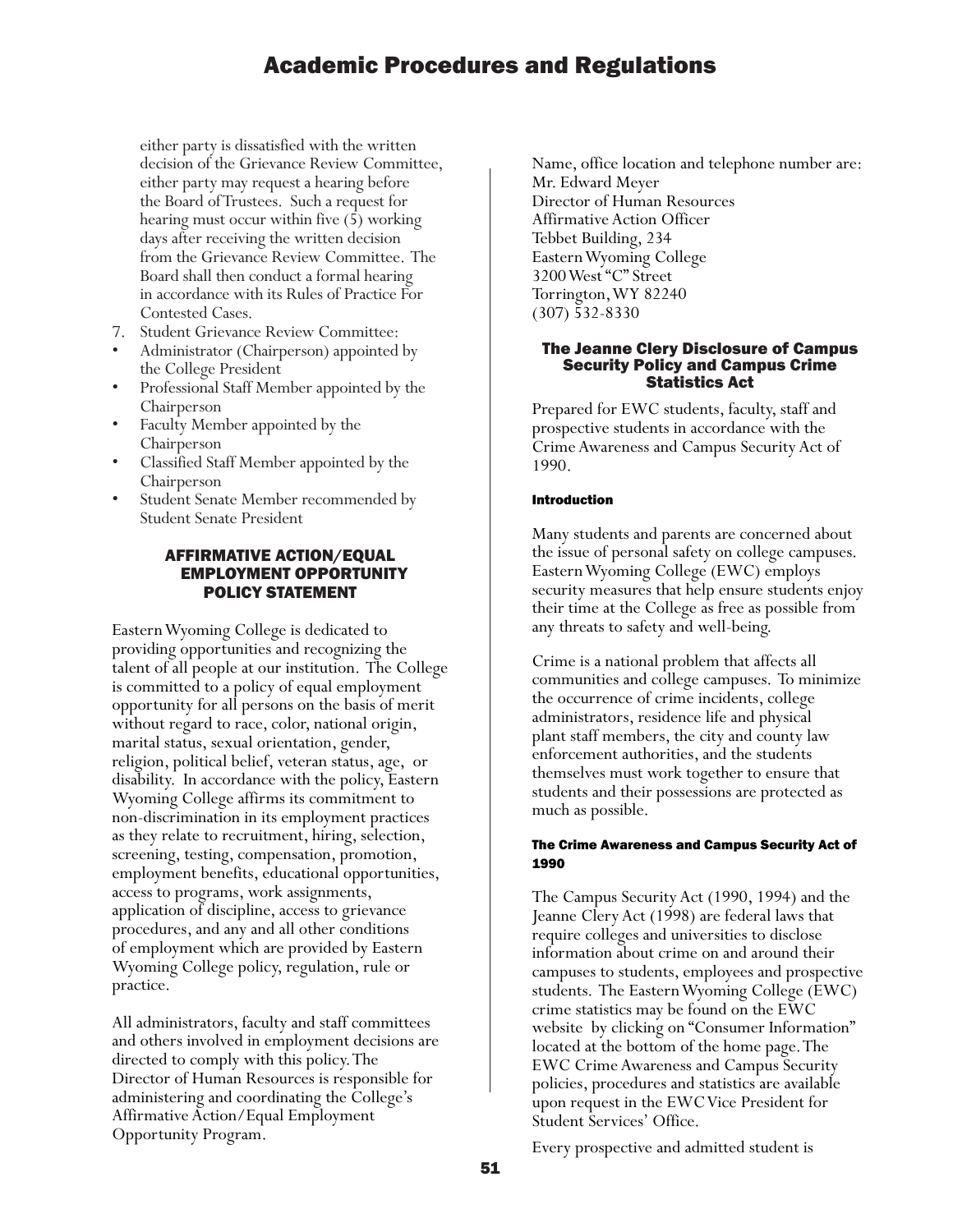either party is dissatisfied with the written decision of the Grievance Review Committee, either party may request a hearing before the Board of Trustees. Such a request for hearing must occur within five (5) working days after receiving the written decision from the Grievance Review Committee. The Board shall then conduct a formal hearing in accordance with its Rules of Practice For Contested Cases.

- 
- 7. Student Grievance Review Committee: Administrator (Chairperson) appointed by
- the College President<br>• Professional Staff Member appointed by the
- Chairperson<br>• Faculty Member appointed by the
- Chairperson<br>Classified Staff Member appointed by the
- Chairperson<br>
Student Senate Member recommended by Student Senate President

#### AFFIRMATIVE ACTION/EQUAL EMPLOYMENT OPPORTUNITY POLICY STATEMENT

Eastern Wyoming College is dedicated to providing opportunities and recognizing the talent of all people at our institution. The College is committed to a policy of equal employment opportunity for all persons on the basis of merit without regard to race, color, national origin, marital status, sexual orientation, gender, religion, political belief, veteran status, age, or disability. In accordance with the policy, Eastern Wyoming College affirms its commitment to non-discrimination in its employment practices as they relate to recruitment, hiring, selection, screening, testing, compensation, promotion, employment benefits, educational opportunities, access to programs, work assignments, application of discipline, access to grievance procedures, and any and all other conditions of employment which are provided by Eastern Wyoming College policy, regulation, rule or practice.

All administrators, faculty and staff committees and others involved in employment decisions are directed to comply with this policy. The Director of Human Resources is responsible for administering and coordinating the College's Affirmative Action/Equal Employment Opportunity Program.

Name, office location and telephone number are: Mr. Edward Meyer Director of Human Resources Affirmative Action Officer Tebbet Building, 234 Eastern Wyoming College 3200 West "C" Street Torrington, WY 82240 (307) 532-8330

#### The Jeanne Clery Disclosure of Campus Security Policy and Campus Crime Statistics Act

Prepared for EWC students, faculty, staff and prospective students in accordance with the Crime Awareness and Campus Security Act of 1990.

#### Introduction

Many students and parents are concerned about the issue of personal safety on college campuses. Eastern Wyoming College (EWC) employs security measures that help ensure students enjoy their time at the College as free as possible from any threats to safety and well-being.

Crime is a national problem that affects all communities and college campuses. To minimize the occurrence of crime incidents, college administrators, residence life and physical plant staff members, the city and county law enforcement authorities, and the students themselves must work together to ensure that students and their possessions are protected as much as possible.

#### The Crime Awareness and Campus Security Act of 1990

The Campus Security Act (1990, 1994) and the Jeanne Clery Act (1998) are federal laws that require colleges and universities to disclose information about crime on and around their campuses to students, employees and prospective students. The Eastern Wyoming College (EWC) crime statistics may be found on the EWC website by clicking on "Consumer Information" located at the bottom of the home page. The EWC Crime Awareness and Campus Security policies, procedures and statistics are available upon request in the EWC Vice President for Student Services' Office.

Every prospective and admitted student is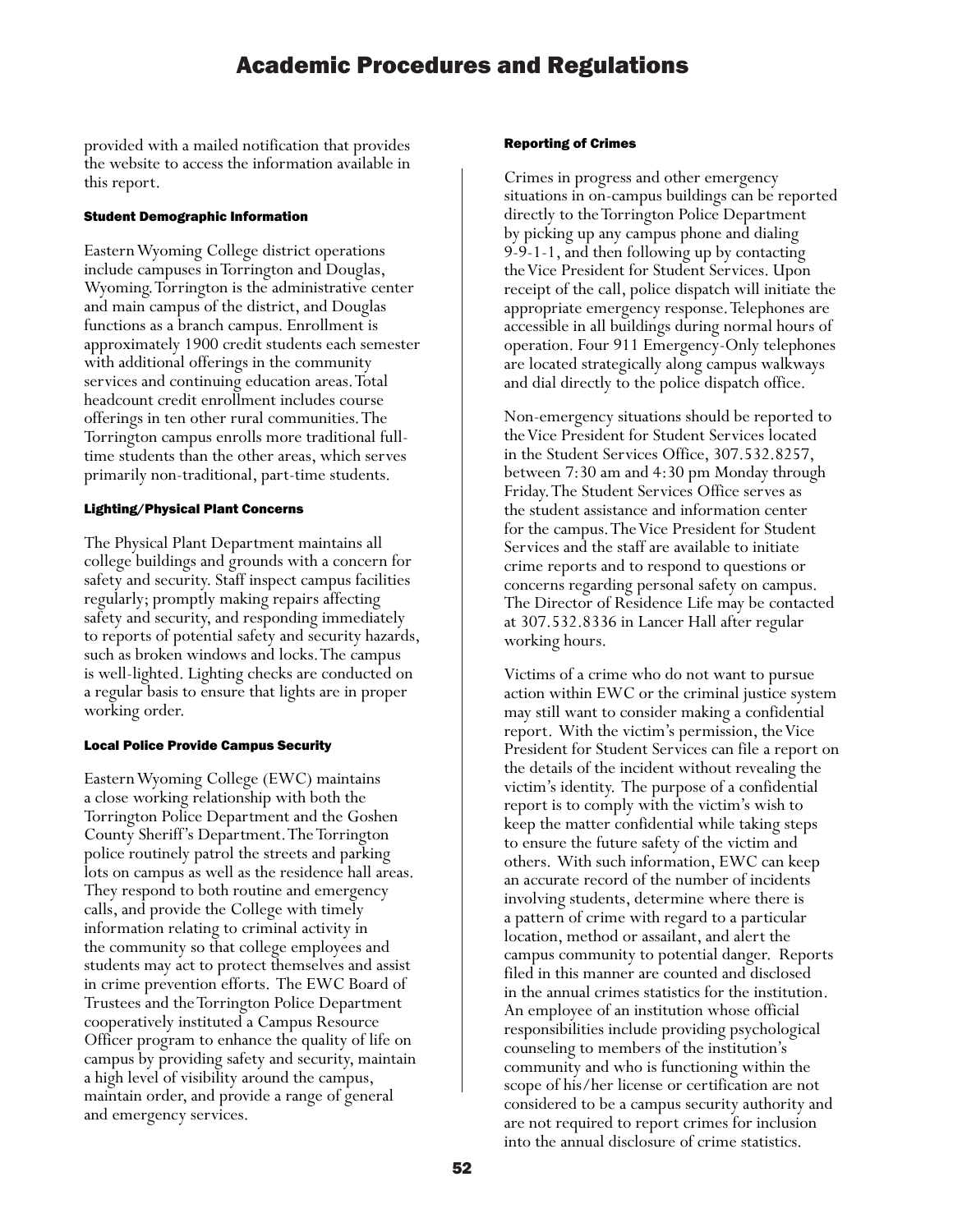provided with a mailed notification that provides the website to access the information available in this report.

#### Student Demographic Information

Eastern Wyoming College district operations include campuses in Torrington and Douglas, Wyoming. Torrington is the administrative center and main campus of the district, and Douglas functions as a branch campus. Enrollment is approximately 1900 credit students each semester with additional offerings in the community services and continuing education areas. Total headcount credit enrollment includes course offerings in ten other rural communities. The Torrington campus enrolls more traditional fulltime students than the other areas, which serves primarily non-traditional, part-time students.

#### Lighting/Physical Plant Concerns

The Physical Plant Department maintains all college buildings and grounds with a concern for safety and security. Staff inspect campus facilities regularly; promptly making repairs affecting safety and security, and responding immediately to reports of potential safety and security hazards, such as broken windows and locks. The campus is well-lighted. Lighting checks are conducted on a regular basis to ensure that lights are in proper working order.

#### Local Police Provide Campus Security

Eastern Wyoming College (EWC) maintains a close working relationship with both the Torrington Police Department and the Goshen County Sheriff's Department. The Torrington police routinely patrol the streets and parking lots on campus as well as the residence hall areas. They respond to both routine and emergency calls, and provide the College with timely information relating to criminal activity in the community so that college employees and students may act to protect themselves and assist in crime prevention efforts. The EWC Board of Trustees and the Torrington Police Department cooperatively instituted a Campus Resource Officer program to enhance the quality of life on campus by providing safety and security, maintain a high level of visibility around the campus, maintain order, and provide a range of general and emergency services.

#### Reporting of Crimes

Crimes in progress and other emergency situations in on-campus buildings can be reported directly to the Torrington Police Department by picking up any campus phone and dialing 9-9-1-1, and then following up by contacting the Vice President for Student Services. Upon receipt of the call, police dispatch will initiate the appropriate emergency response. Telephones are accessible in all buildings during normal hours of operation. Four 911 Emergency-Only telephones are located strategically along campus walkways and dial directly to the police dispatch office.

Non-emergency situations should be reported to the Vice President for Student Services located in the Student Services Office, 307.532.8257, between 7:30 am and 4:30 pm Monday through Friday. The Student Services Office serves as the student assistance and information center for the campus. The Vice President for Student Services and the staff are available to initiate crime reports and to respond to questions or concerns regarding personal safety on campus. The Director of Residence Life may be contacted at 307.532.8336 in Lancer Hall after regular working hours.

Victims of a crime who do not want to pursue action within EWC or the criminal justice system may still want to consider making a confidential report. With the victim's permission, the Vice President for Student Services can file a report on the details of the incident without revealing the victim's identity. The purpose of a confidential report is to comply with the victim's wish to keep the matter confidential while taking steps to ensure the future safety of the victim and others. With such information, EWC can keep an accurate record of the number of incidents involving students, determine where there is a pattern of crime with regard to a particular location, method or assailant, and alert the campus community to potential danger. Reports filed in this manner are counted and disclosed in the annual crimes statistics for the institution. An employee of an institution whose official responsibilities include providing psychological counseling to members of the institution's community and who is functioning within the scope of his/her license or certification are not considered to be a campus security authority and are not required to report crimes for inclusion into the annual disclosure of crime statistics.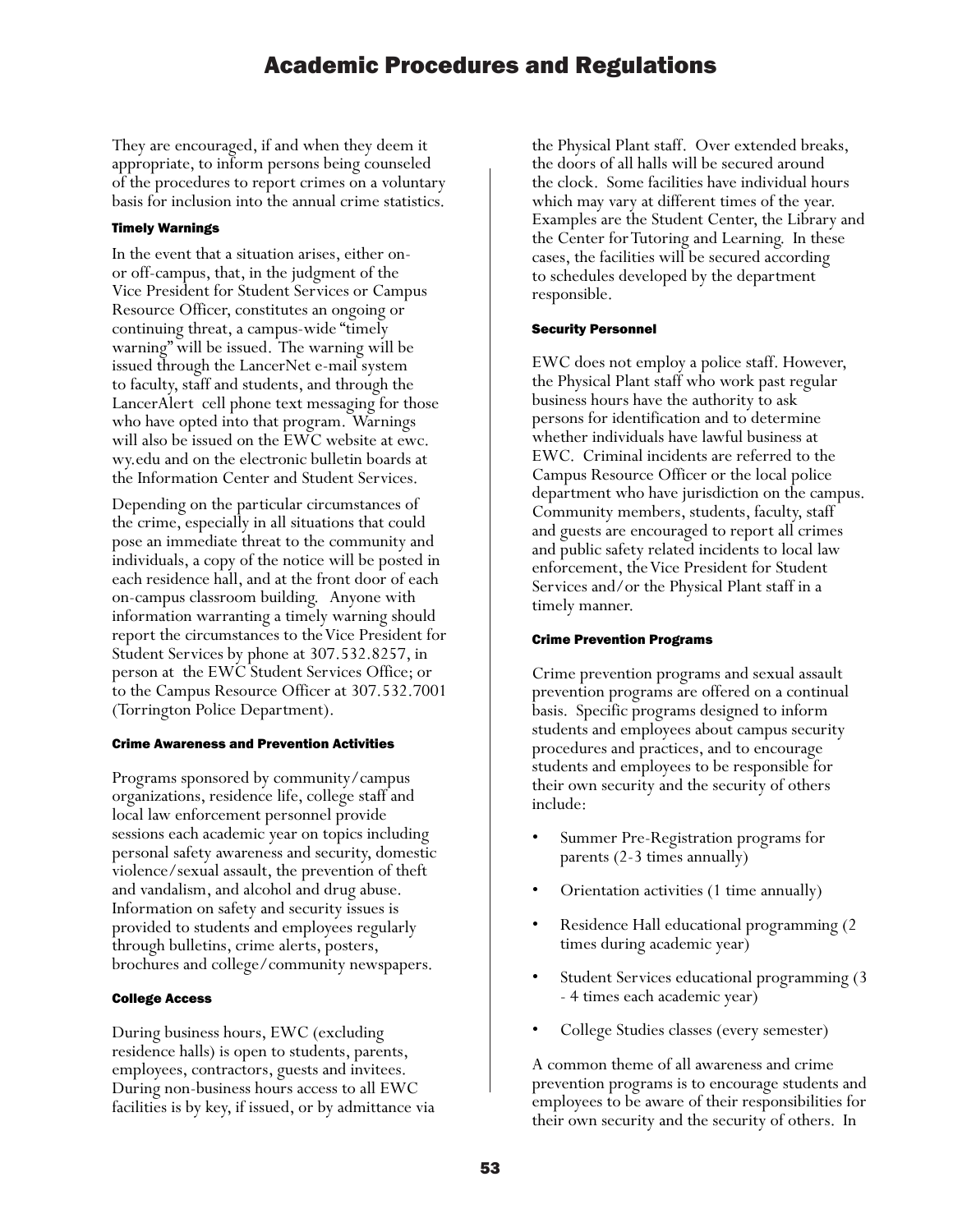They are encouraged, if and when they deem it appropriate, to inform persons being counseled of the procedures to report crimes on a voluntary basis for inclusion into the annual crime statistics.

#### Timely Warnings

In the event that a situation arises, either onor off-campus, that, in the judgment of the Vice President for Student Services or Campus Resource Officer, constitutes an ongoing or continuing threat, a campus-wide "timely warning" will be issued. The warning will be issued through the LancerNet e-mail system to faculty, staff and students, and through the LancerAlert cell phone text messaging for those who have opted into that program. Warnings will also be issued on the EWC website at ewc. wy.edu and on the electronic bulletin boards at the Information Center and Student Services.

Depending on the particular circumstances of the crime, especially in all situations that could pose an immediate threat to the community and individuals, a copy of the notice will be posted in each residence hall, and at the front door of each on-campus classroom building. Anyone with information warranting a timely warning should report the circumstances to the Vice President for Student Services by phone at 307.532.8257, in person at the EWC Student Services Office; or to the Campus Resource Officer at 307.532.7001 (Torrington Police Department).

#### Crime Awareness and Prevention Activities

Programs sponsored by community/campus organizations, residence life, college staff and local law enforcement personnel provide sessions each academic year on topics including personal safety awareness and security, domestic violence/sexual assault, the prevention of theft and vandalism, and alcohol and drug abuse. Information on safety and security issues is provided to students and employees regularly through bulletins, crime alerts, posters, brochures and college/community newspapers.

#### College Access

During business hours, EWC (excluding residence halls) is open to students, parents, employees, contractors, guests and invitees. During non-business hours access to all EWC facilities is by key, if issued, or by admittance via the Physical Plant staff. Over extended breaks, the doors of all halls will be secured around the clock. Some facilities have individual hours which may vary at different times of the year. Examples are the Student Center, the Library and the Center for Tutoring and Learning. In these cases, the facilities will be secured according to schedules developed by the department responsible.

#### Security Personnel

EWC does not employ a police staff. However, the Physical Plant staff who work past regular business hours have the authority to ask persons for identification and to determine whether individuals have lawful business at EWC. Criminal incidents are referred to the Campus Resource Officer or the local police department who have jurisdiction on the campus. Community members, students, faculty, staff and guests are encouraged to report all crimes and public safety related incidents to local law enforcement, the Vice President for Student Services and/or the Physical Plant staff in a timely manner.

#### Crime Prevention Programs

Crime prevention programs and sexual assault prevention programs are offered on a continual basis. Specific programs designed to inform students and employees about campus security procedures and practices, and to encourage students and employees to be responsible for their own security and the security of others include:

- Summer Pre-Registration programs for parents (2-3 times annually)
- Orientation activities (1 time annually)
- Residence Hall educational programming (2 times during academic year)
- Student Services educational programming (3 - 4 times each academic year)
- College Studies classes (every semester)

A common theme of all awareness and crime prevention programs is to encourage students and employees to be aware of their responsibilities for their own security and the security of others. In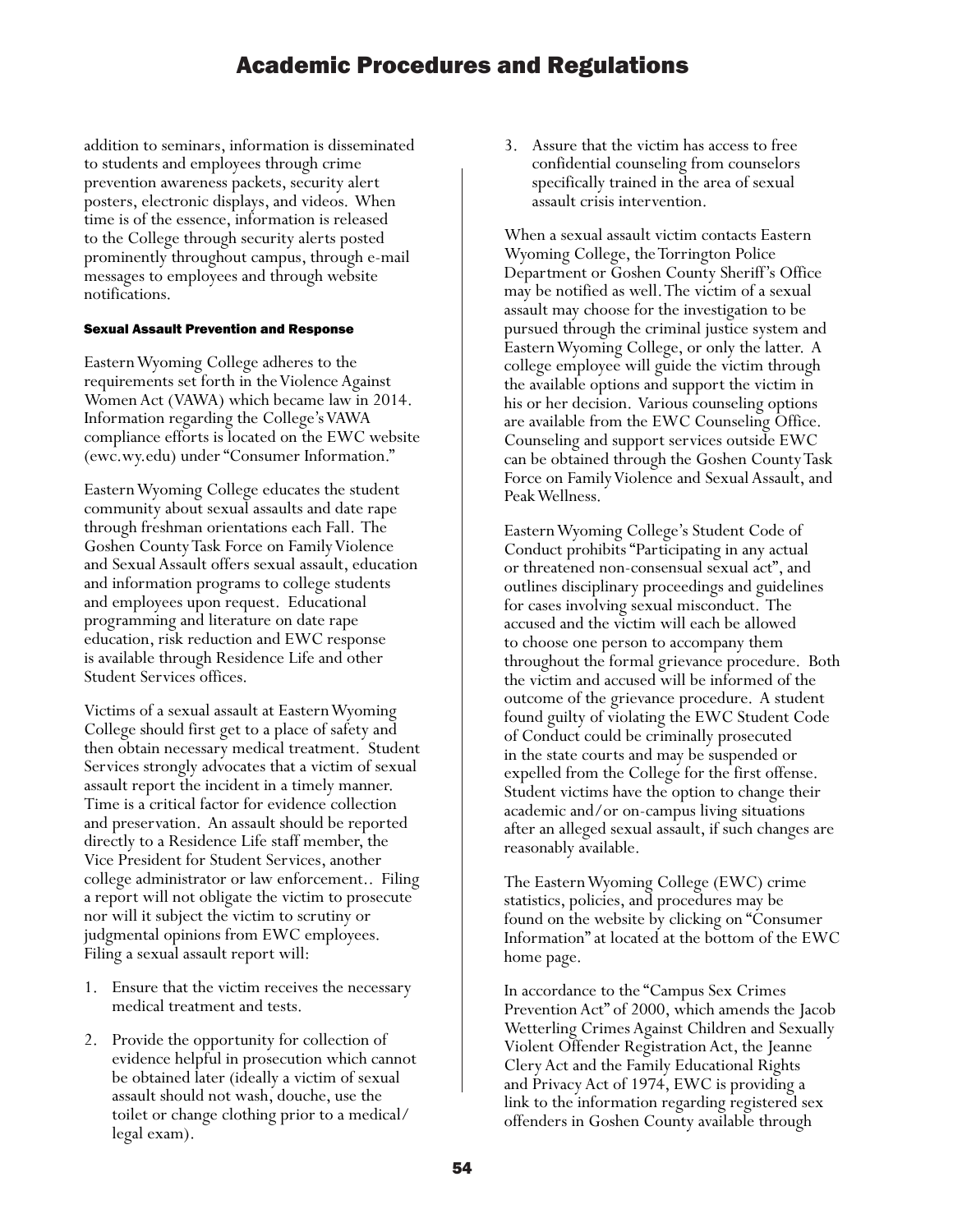addition to seminars, information is disseminated to students and employees through crime prevention awareness packets, security alert posters, electronic displays, and videos. When time is of the essence, information is released to the College through security alerts posted prominently throughout campus, through e-mail messages to employees and through website notifications.

#### Sexual Assault Prevention and Response

Eastern Wyoming College adheres to the requirements set forth in the Violence Against Women Act (VAWA) which became law in 2014. Information regarding the College's VAWA compliance efforts is located on the EWC website (ewc.wy.edu) under "Consumer Information."

Eastern Wyoming College educates the student community about sexual assaults and date rape through freshman orientations each Fall. The Goshen County Task Force on Family Violence and Sexual Assault offers sexual assault, education and information programs to college students and employees upon request. Educational programming and literature on date rape education, risk reduction and EWC response is available through Residence Life and other Student Services offices.

Victims of a sexual assault at Eastern Wyoming College should first get to a place of safety and then obtain necessary medical treatment. Student Services strongly advocates that a victim of sexual assault report the incident in a timely manner. Time is a critical factor for evidence collection and preservation. An assault should be reported directly to a Residence Life staff member, the Vice President for Student Services, another college administrator or law enforcement.. Filing a report will not obligate the victim to prosecute nor will it subject the victim to scrutiny or judgmental opinions from EWC employees. Filing a sexual assault report will:

- 1. Ensure that the victim receives the necessary medical treatment and tests.
- 2. Provide the opportunity for collection of evidence helpful in prosecution which cannot be obtained later (ideally a victim of sexual assault should not wash, douche, use the toilet or change clothing prior to a medical/ legal exam).

3. Assure that the victim has access to free confidential counseling from counselors specifically trained in the area of sexual assault crisis intervention.

When a sexual assault victim contacts Eastern Wyoming College, the Torrington Police Department or Goshen County Sheriff's Office may be notified as well. The victim of a sexual assault may choose for the investigation to be pursued through the criminal justice system and Eastern Wyoming College, or only the latter. A college employee will guide the victim through the available options and support the victim in his or her decision. Various counseling options are available from the EWC Counseling Office. Counseling and support services outside EWC can be obtained through the Goshen County Task Force on Family Violence and Sexual Assault, and Peak Wellness.

Eastern Wyoming College's Student Code of Conduct prohibits "Participating in any actual or threatened non-consensual sexual act", and outlines disciplinary proceedings and guidelines for cases involving sexual misconduct. The accused and the victim will each be allowed to choose one person to accompany them throughout the formal grievance procedure. Both the victim and accused will be informed of the outcome of the grievance procedure. A student found guilty of violating the EWC Student Code of Conduct could be criminally prosecuted in the state courts and may be suspended or expelled from the College for the first offense. Student victims have the option to change their academic and/or on-campus living situations after an alleged sexual assault, if such changes are reasonably available.

The Eastern Wyoming College (EWC) crime statistics, policies, and procedures may be found on the website by clicking on "Consumer Information" at located at the bottom of the EWC home page.

In accordance to the "Campus Sex Crimes Prevention Act" of 2000, which amends the Jacob Wetterling Crimes Against Children and Sexually Violent Offender Registration Act, the Jeanne Clery Act and the Family Educational Rights and Privacy Act of 1974, EWC is providing a link to the information regarding registered sex offenders in Goshen County available through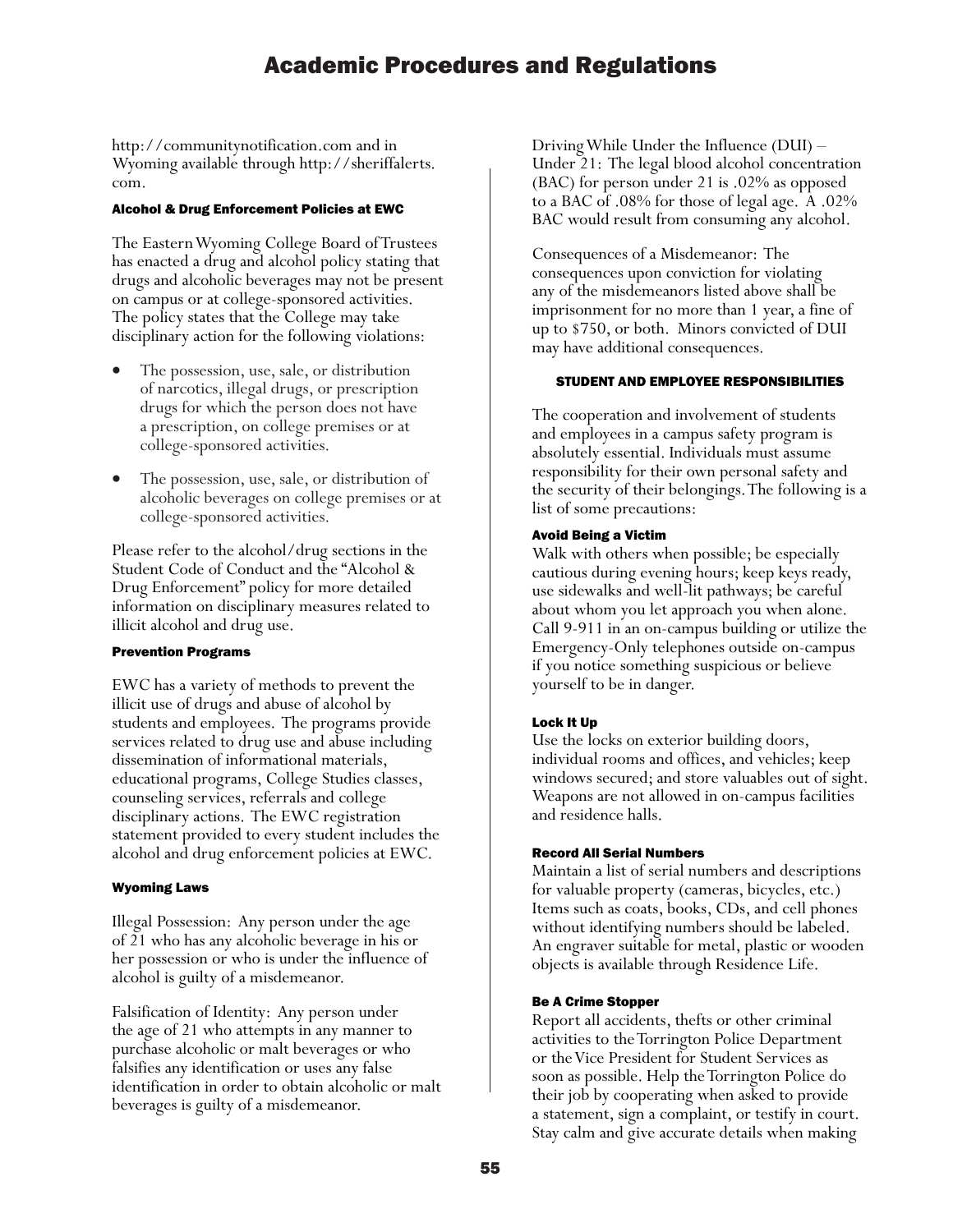http://communitynotification.com and in Wyoming available through http://sheriffalerts. com.

#### Alcohol & Drug Enforcement Policies at EWC

The Eastern Wyoming College Board of Trustees has enacted a drug and alcohol policy stating that drugs and alcoholic beverages may not be present on campus or at college-sponsored activities. The policy states that the College may take disciplinary action for the following violations:

- The possession, use, sale, or distribution of narcotics, illegal drugs, or prescription drugs for which the person does not have a prescription, on college premises or at college-sponsored activities.
- The possession, use, sale, or distribution of alcoholic beverages on college premises or at college-sponsored activities.

Please refer to the alcohol/drug sections in the Student Code of Conduct and the "Alcohol & Drug Enforcement" policy for more detailed information on disciplinary measures related to illicit alcohol and drug use.

#### Prevention Programs

EWC has a variety of methods to prevent the illicit use of drugs and abuse of alcohol by students and employees. The programs provide services related to drug use and abuse including dissemination of informational materials, educational programs, College Studies classes, counseling services, referrals and college disciplinary actions. The EWC registration statement provided to every student includes the alcohol and drug enforcement policies at EWC.

#### Wyoming Laws

Illegal Possession: Any person under the age of 21 who has any alcoholic beverage in his or her possession or who is under the influence of alcohol is guilty of a misdemeanor.

Falsification of Identity: Any person under the age of 21 who attempts in any manner to purchase alcoholic or malt beverages or who falsifies any identification or uses any false identification in order to obtain alcoholic or malt beverages is guilty of a misdemeanor.

Driving While Under the Influence (DUI) – Under 21: The legal blood alcohol concentration (BAC) for person under 21 is .02% as opposed to a BAC of .08% for those of legal age. A .02% BAC would result from consuming any alcohol.

Consequences of a Misdemeanor: The consequences upon conviction for violating any of the misdemeanors listed above shall be imprisonment for no more than 1 year, a fine of up to \$750, or both. Minors convicted of DUI may have additional consequences.

#### STUDENT AND EMPLOYEE RESPONSIBILITIES

The cooperation and involvement of students and employees in a campus safety program is absolutely essential. Individuals must assume responsibility for their own personal safety and the security of their belongings. The following is a list of some precautions:

#### Avoid Being a Victim

Walk with others when possible; be especially cautious during evening hours; keep keys ready, use sidewalks and well-lit pathways; be careful about whom you let approach you when alone. Call 9-911 in an on-campus building or utilize the Emergency-Only telephones outside on-campus if you notice something suspicious or believe yourself to be in danger.

#### Lock It Up

Use the locks on exterior building doors, individual rooms and offices, and vehicles; keep windows secured; and store valuables out of sight. Weapons are not allowed in on-campus facilities and residence halls.

#### Record All Serial Numbers

Maintain a list of serial numbers and descriptions for valuable property (cameras, bicycles, etc.) Items such as coats, books, CDs, and cell phones without identifying numbers should be labeled. An engraver suitable for metal, plastic or wooden objects is available through Residence Life.

#### Be A Crime Stopper

Report all accidents, thefts or other criminal activities to the Torrington Police Department or the Vice President for Student Services as soon as possible. Help the Torrington Police do their job by cooperating when asked to provide a statement, sign a complaint, or testify in court. Stay calm and give accurate details when making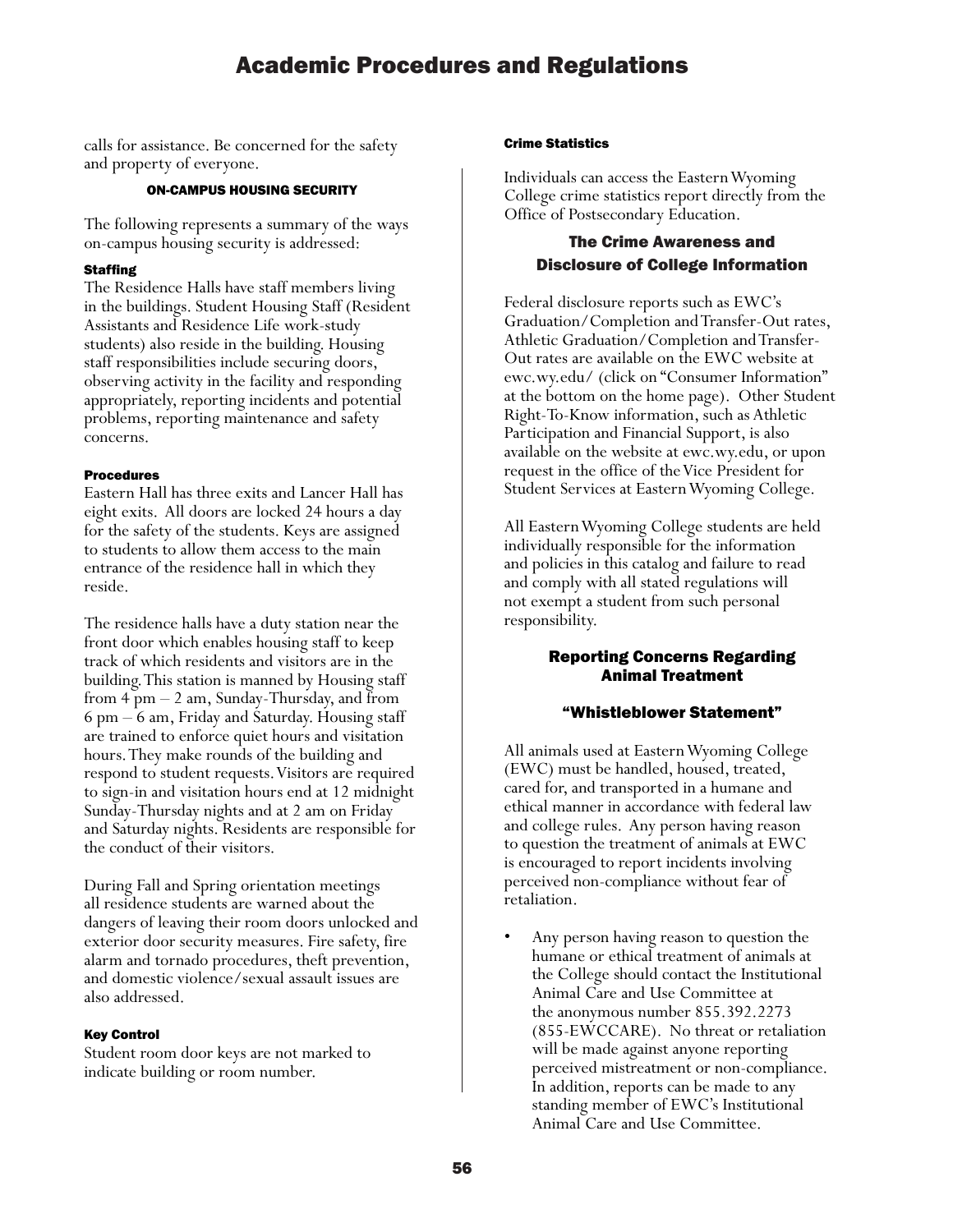calls for assistance. Be concerned for the safety and property of everyone.

#### ON-CAMPUS HOUSING SECURITY

The following represents a summary of the ways on-campus housing security is addressed:

#### **Staffing**

The Residence Halls have staff members living in the buildings. Student Housing Staff (Resident Assistants and Residence Life work-study students) also reside in the building. Housing staff responsibilities include securing doors, observing activity in the facility and responding appropriately, reporting incidents and potential problems, reporting maintenance and safety concerns.

#### Procedures

Eastern Hall has three exits and Lancer Hall has eight exits. All doors are locked 24 hours a day for the safety of the students. Keys are assigned to students to allow them access to the main entrance of the residence hall in which they reside.

The residence halls have a duty station near the front door which enables housing staff to keep track of which residents and visitors are in the building. This station is manned by Housing staff from 4 pm – 2 am, Sunday-Thursday, and from 6 pm – 6 am, Friday and Saturday. Housing staff are trained to enforce quiet hours and visitation hours. They make rounds of the building and respond to student requests. Visitors are required to sign-in and visitation hours end at 12 midnight Sunday-Thursday nights and at 2 am on Friday and Saturday nights. Residents are responsible for the conduct of their visitors.

During Fall and Spring orientation meetings all residence students are warned about the dangers of leaving their room doors unlocked and exterior door security measures. Fire safety, fire alarm and tornado procedures, theft prevention, and domestic violence/sexual assault issues are also addressed.

#### Key Control

Student room door keys are not marked to indicate building or room number.

#### Crime Statistics

Individuals can access the Eastern Wyoming College crime statistics report directly from the Office of Postsecondary Education.

#### The Crime Awareness and Disclosure of College Information

Federal disclosure reports such as EWC's Graduation/Completion and Transfer-Out rates, Athletic Graduation/Completion and Transfer-Out rates are available on the EWC website at ewc.wy.edu/ (click on "Consumer Information" at the bottom on the home page). Other Student Right-To-Know information, such as Athletic Participation and Financial Support, is also available on the website at ewc.wy.edu, or upon request in the office of the Vice President for Student Services at Eastern Wyoming College.

All Eastern Wyoming College students are held individually responsible for the information and policies in this catalog and failure to read and comply with all stated regulations will not exempt a student from such personal responsibility.

Student Responsibility

#### Reporting Concerns Regarding Animal Treatment

#### "Whistleblower Statement"

All animals used at Eastern Wyoming College (EWC) must be handled, housed, treated, cared for, and transported in a humane and ethical manner in accordance with federal law and college rules. Any person having reason to question the treatment of animals at EWC is encouraged to report incidents involving perceived non-compliance without fear of retaliation.

• Any person having reason to question the humane or ethical treatment of animals at the College should contact the Institutional Animal Care and Use Committee at the anonymous number 855.392.2273 (855-EWCCARE). No threat or retaliation will be made against anyone reporting perceived mistreatment or non-compliance. In addition, reports can be made to any standing member of EWC's Institutional Animal Care and Use Committee.